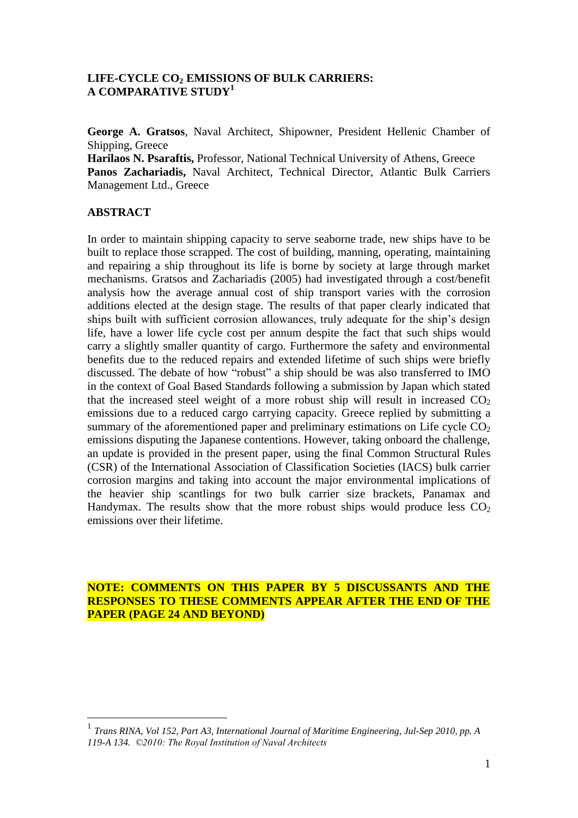## **LIFE-CYCLE CO<sup>2</sup> EMISSIONS OF BULK CARRIERS: A COMPARATIVE STUDY<sup>1</sup>**

**George A. Gratsos**, Naval Architect, Shipowner, President Hellenic Chamber of Shipping, Greece

**Harilaos N. Psaraftis,** Professor, National Technical University of Athens, Greece **Panos Zachariadis,** Naval Architect, Technical Director, Atlantic Bulk Carriers Management Ltd., Greece

### **ABSTRACT**

1

In order to maintain shipping capacity to serve seaborne trade, new ships have to be built to replace those scrapped. The cost of building, manning, operating, maintaining and repairing a ship throughout its life is borne by society at large through market mechanisms. Gratsos and Zachariadis (2005) had investigated through a cost/benefit analysis how the average annual cost of ship transport varies with the corrosion additions elected at the design stage. The results of that paper clearly indicated that ships built with sufficient corrosion allowances, truly adequate for the ship"s design life, have a lower life cycle cost per annum despite the fact that such ships would carry a slightly smaller quantity of cargo. Furthermore the safety and environmental benefits due to the reduced repairs and extended lifetime of such ships were briefly discussed. The debate of how "robust" a ship should be was also transferred to IMO in the context of Goal Based Standards following a submission by Japan which stated that the increased steel weight of a more robust ship will result in increased  $CO<sub>2</sub>$ emissions due to a reduced cargo carrying capacity. Greece replied by submitting a summary of the aforementioned paper and preliminary estimations on Life cycle  $CO<sub>2</sub>$ emissions disputing the Japanese contentions. However, taking onboard the challenge, an update is provided in the present paper, using the final Common Structural Rules (CSR) of the International Association of Classification Societies (IACS) bulk carrier corrosion margins and taking into account the major environmental implications of the heavier ship scantlings for two bulk carrier size brackets, Panamax and Handymax. The results show that the more robust ships would produce less  $CO<sub>2</sub>$ emissions over their lifetime.

**NOTE: COMMENTS ON THIS PAPER BY 5 DISCUSSANTS AND THE RESPONSES TO THESE COMMENTS APPEAR AFTER THE END OF THE PAPER (PAGE 24 AND BEYOND)**

<sup>1</sup> *Trans RINA, Vol 152, Part A3, International Journal of Maritime Engineering, Jul-Sep 2010, pp. A 119-A 134. ©2010: The Royal Institution of Naval Architects*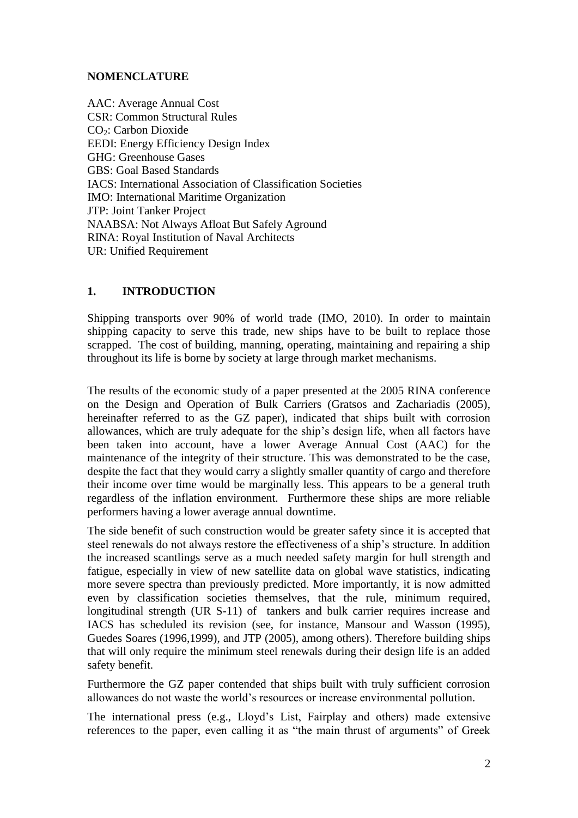## **NOMENCLATURE**

AAC: Average Annual Cost CSR: Common Structural Rules CO<sub>2</sub>: Carbon Dioxide EEDI: Energy Efficiency Design Index GHG: Greenhouse Gases GBS: Goal Based Standards IACS: International Association of Classification Societies IMO: International Maritime Organization JTP: Joint Tanker Project NAABSA: Not Always Afloat But Safely Aground RINA: Royal Institution of Naval Architects UR: Unified Requirement

# **1. INTRODUCTION**

Shipping transports over 90% of world trade (IMO, 2010). In order to maintain shipping capacity to serve this trade, new ships have to be built to replace those scrapped. The cost of building, manning, operating, maintaining and repairing a ship throughout its life is borne by society at large through market mechanisms.

The results of the economic study of a paper presented at the 2005 RINA conference on the Design and Operation of Bulk Carriers (Gratsos and Zachariadis (2005), hereinafter referred to as the GZ paper), indicated that ships built with corrosion allowances, which are truly adequate for the ship"s design life, when all factors have been taken into account, have a lower Average Annual Cost (AAC) for the maintenance of the integrity of their structure. This was demonstrated to be the case, despite the fact that they would carry a slightly smaller quantity of cargo and therefore their income over time would be marginally less. This appears to be a general truth regardless of the inflation environment. Furthermore these ships are more reliable performers having a lower average annual downtime.

The side benefit of such construction would be greater safety since it is accepted that steel renewals do not always restore the effectiveness of a ship"s structure. In addition the increased scantlings serve as a much needed safety margin for hull strength and fatigue, especially in view of new satellite data on global wave statistics, indicating more severe spectra than previously predicted. More importantly, it is now admitted even by classification societies themselves, that the rule, minimum required, longitudinal strength (UR S-11) of tankers and bulk carrier requires increase and IACS has scheduled its revision (see, for instance, Mansour and Wasson (1995), Guedes Soares (1996,1999), and JTP (2005), among others). Therefore building ships that will only require the minimum steel renewals during their design life is an added safety benefit.

Furthermore the GZ paper contended that ships built with truly sufficient corrosion allowances do not waste the world"s resources or increase environmental pollution.

The international press (e.g., Lloyd"s List, Fairplay and others) made extensive references to the paper, even calling it as "the main thrust of arguments" of Greek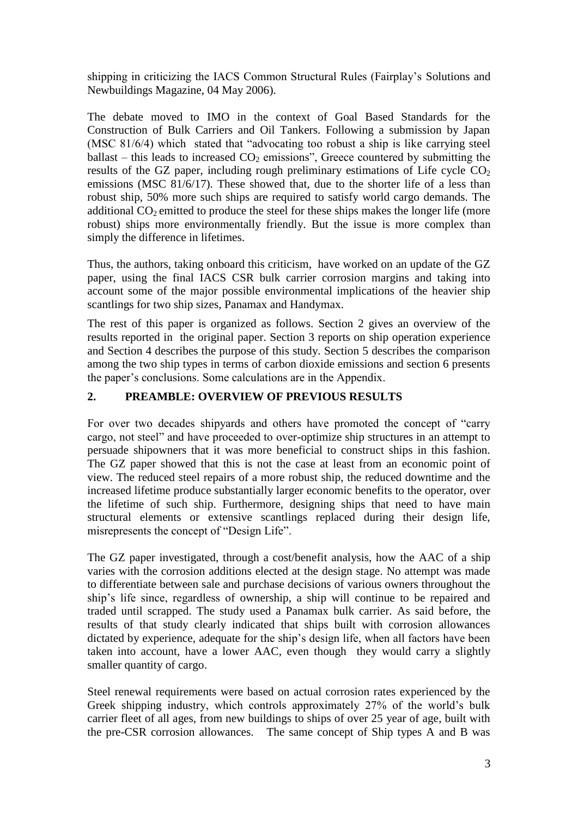shipping in criticizing the IACS Common Structural Rules (Fairplay"s Solutions and Newbuildings Magazine, 04 May 2006).

The debate moved to IMO in the context of Goal Based Standards for the Construction of Bulk Carriers and Oil Tankers. Following a submission by Japan (MSC 81/6/4) which stated that "advocating too robust a ship is like carrying steel ballast – this leads to increased  $CO<sub>2</sub>$  emissions", Greece countered by submitting the results of the GZ paper, including rough preliminary estimations of Life cycle  $CO<sub>2</sub>$ emissions (MSC 81/6/17). These showed that, due to the shorter life of a less than robust ship, 50% more such ships are required to satisfy world cargo demands. The additional  $CO<sub>2</sub>$  emitted to produce the steel for these ships makes the longer life (more robust) ships more environmentally friendly. But the issue is more complex than simply the difference in lifetimes.

Thus, the authors, taking onboard this criticism, have worked on an update of the GZ paper, using the final IACS CSR bulk carrier corrosion margins and taking into account some of the major possible environmental implications of the heavier ship scantlings for two ship sizes, Panamax and Handymax.

The rest of this paper is organized as follows. Section 2 gives an overview of the results reported in the original paper. Section 3 reports on ship operation experience and Section 4 describes the purpose of this study. Section 5 describes the comparison among the two ship types in terms of carbon dioxide emissions and section 6 presents the paper"s conclusions. Some calculations are in the Appendix.

# **2. PREAMBLE: OVERVIEW OF PREVIOUS RESULTS**

For over two decades shipyards and others have promoted the concept of "carry cargo, not steel" and have proceeded to over-optimize ship structures in an attempt to persuade shipowners that it was more beneficial to construct ships in this fashion. The GZ paper showed that this is not the case at least from an economic point of view. The reduced steel repairs of a more robust ship, the reduced downtime and the increased lifetime produce substantially larger economic benefits to the operator, over the lifetime of such ship. Furthermore, designing ships that need to have main structural elements or extensive scantlings replaced during their design life, misrepresents the concept of "Design Life".

The GZ paper investigated, through a cost/benefit analysis, how the AAC of a ship varies with the corrosion additions elected at the design stage. No attempt was made to differentiate between sale and purchase decisions of various owners throughout the ship"s life since, regardless of ownership, a ship will continue to be repaired and traded until scrapped. The study used a Panamax bulk carrier. As said before, the results of that study clearly indicated that ships built with corrosion allowances dictated by experience, adequate for the ship's design life, when all factors have been taken into account, have a lower AAC, even though they would carry a slightly smaller quantity of cargo.

Steel renewal requirements were based on actual corrosion rates experienced by the Greek shipping industry, which controls approximately 27% of the world's bulk carrier fleet of all ages, from new buildings to ships of over 25 year of age, built with the pre-CSR corrosion allowances. The same concept of Ship types A and B was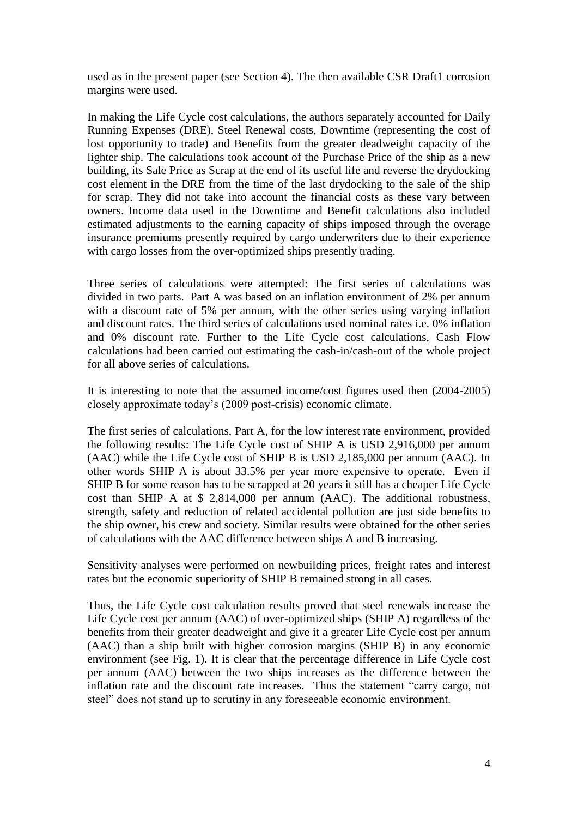used as in the present paper (see Section 4). The then available CSR Draft1 corrosion margins were used.

In making the Life Cycle cost calculations, the authors separately accounted for Daily Running Expenses (DRE), Steel Renewal costs, Downtime (representing the cost of lost opportunity to trade) and Benefits from the greater deadweight capacity of the lighter ship. The calculations took account of the Purchase Price of the ship as a new building, its Sale Price as Scrap at the end of its useful life and reverse the drydocking cost element in the DRE from the time of the last drydocking to the sale of the ship for scrap. They did not take into account the financial costs as these vary between owners. Income data used in the Downtime and Benefit calculations also included estimated adjustments to the earning capacity of ships imposed through the overage insurance premiums presently required by cargo underwriters due to their experience with cargo losses from the over-optimized ships presently trading.

Three series of calculations were attempted: The first series of calculations was divided in two parts. Part A was based on an inflation environment of 2% per annum with a discount rate of 5% per annum, with the other series using varying inflation and discount rates. The third series of calculations used nominal rates i.e. 0% inflation and 0% discount rate. Further to the Life Cycle cost calculations, Cash Flow calculations had been carried out estimating the cash-in/cash-out of the whole project for all above series of calculations.

It is interesting to note that the assumed income/cost figures used then (2004-2005) closely approximate today"s (2009 post-crisis) economic climate.

The first series of calculations, Part A, for the low interest rate environment, provided the following results: The Life Cycle cost of SHIP A is USD 2,916,000 per annum (AAC) while the Life Cycle cost of SHIP B is USD 2,185,000 per annum (AAC). In other words SHIP A is about 33.5% per year more expensive to operate. Even if SHIP B for some reason has to be scrapped at 20 years it still has a cheaper Life Cycle cost than SHIP A at \$ 2,814,000 per annum (AAC). The additional robustness, strength, safety and reduction of related accidental pollution are just side benefits to the ship owner, his crew and society. Similar results were obtained for the other series of calculations with the AAC difference between ships A and B increasing.

Sensitivity analyses were performed on newbuilding prices, freight rates and interest rates but the economic superiority of SHIP B remained strong in all cases.

Thus, the Life Cycle cost calculation results proved that steel renewals increase the Life Cycle cost per annum (AAC) of over-optimized ships (SHIP A) regardless of the benefits from their greater deadweight and give it a greater Life Cycle cost per annum (AAC) than a ship built with higher corrosion margins (SHIP B) in any economic environment (see Fig. 1). It is clear that the percentage difference in Life Cycle cost per annum (AAC) between the two ships increases as the difference between the inflation rate and the discount rate increases. Thus the statement "carry cargo, not steel" does not stand up to scrutiny in any foreseeable economic environment.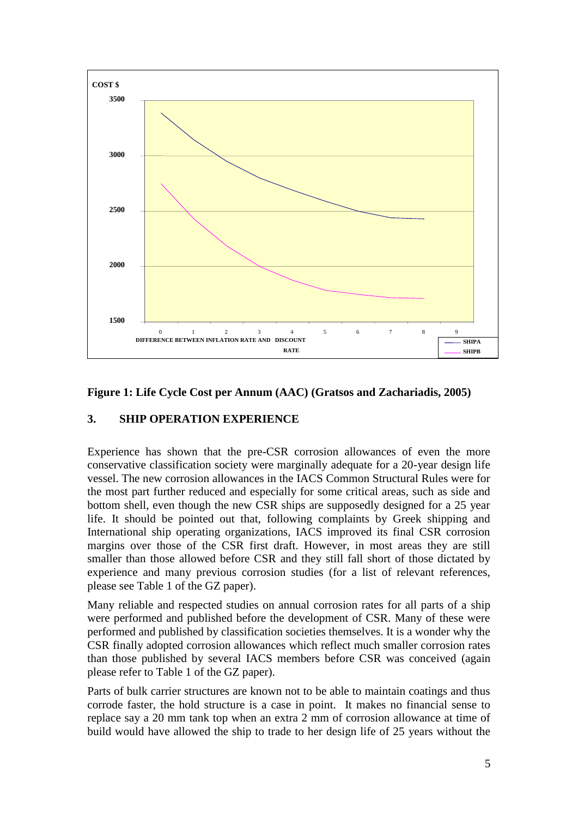

## **Figure 1: Life Cycle Cost per Annum (AAC) (Gratsos and Zachariadis, 2005)**

### **3. SHIP OPERATION EXPERIENCE**

Experience has shown that the pre-CSR corrosion allowances of even the more conservative classification society were marginally adequate for a 20-year design life vessel. The new corrosion allowances in the IACS Common Structural Rules were for the most part further reduced and especially for some critical areas, such as side and bottom shell, even though the new CSR ships are supposedly designed for a 25 year life. It should be pointed out that, following complaints by Greek shipping and International ship operating organizations, IACS improved its final CSR corrosion margins over those of the CSR first draft. However, in most areas they are still smaller than those allowed before CSR and they still fall short of those dictated by experience and many previous corrosion studies (for a list of relevant references, please see Table 1 of the GZ paper).

Many reliable and respected studies on annual corrosion rates for all parts of a ship were performed and published before the development of CSR. Many of these were performed and published by classification societies themselves. It is a wonder why the CSR finally adopted corrosion allowances which reflect much smaller corrosion rates than those published by several IACS members before CSR was conceived (again please refer to Table 1 of the GZ paper).

Parts of bulk carrier structures are known not to be able to maintain coatings and thus corrode faster, the hold structure is a case in point. It makes no financial sense to replace say a 20 mm tank top when an extra 2 mm of corrosion allowance at time of build would have allowed the ship to trade to her design life of 25 years without the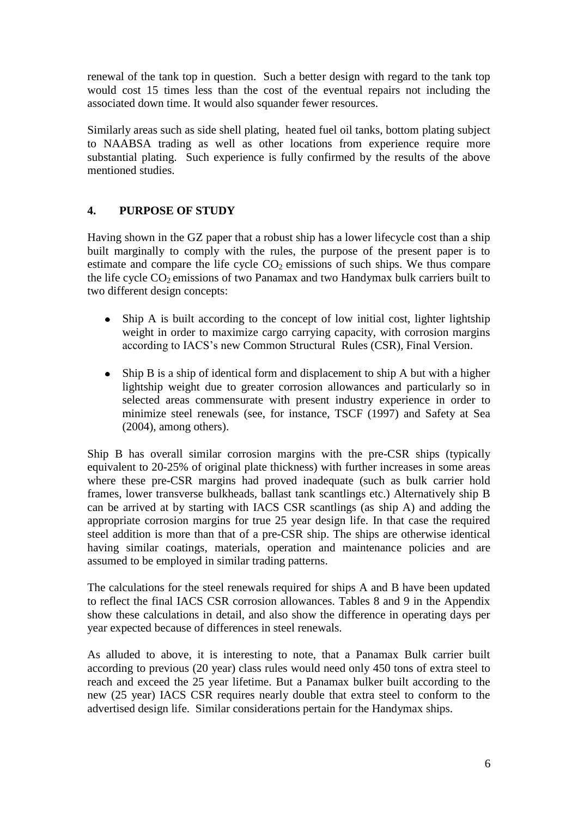renewal of the tank top in question. Such a better design with regard to the tank top would cost 15 times less than the cost of the eventual repairs not including the associated down time. It would also squander fewer resources.

Similarly areas such as side shell plating, heated fuel oil tanks, bottom plating subject to NAABSA trading as well as other locations from experience require more substantial plating. Such experience is fully confirmed by the results of the above mentioned studies.

# **4. PURPOSE OF STUDY**

Having shown in the GZ paper that a robust ship has a lower lifecycle cost than a ship built marginally to comply with the rules, the purpose of the present paper is to estimate and compare the life cycle  $CO<sub>2</sub>$  emissions of such ships. We thus compare the life cycle  $CO<sub>2</sub>$  emissions of two Panamax and two Handymax bulk carriers built to two different design concepts:

- $\bullet$ Ship A is built according to the concept of low initial cost, lighter lightship weight in order to maximize cargo carrying capacity, with corrosion margins according to IACS"s new Common Structural Rules (CSR), Final Version.
- Ship B is a ship of identical form and displacement to ship A but with a higher  $\bullet$ lightship weight due to greater corrosion allowances and particularly so in selected areas commensurate with present industry experience in order to minimize steel renewals (see, for instance, TSCF (1997) and Safety at Sea (2004), among others).

Ship B has overall similar corrosion margins with the pre-CSR ships (typically equivalent to 20-25% of original plate thickness) with further increases in some areas where these pre-CSR margins had proved inadequate (such as bulk carrier hold frames, lower transverse bulkheads, ballast tank scantlings etc.) Alternatively ship B can be arrived at by starting with IACS CSR scantlings (as ship A) and adding the appropriate corrosion margins for true 25 year design life. In that case the required steel addition is more than that of a pre-CSR ship. The ships are otherwise identical having similar coatings, materials, operation and maintenance policies and are assumed to be employed in similar trading patterns.

The calculations for the steel renewals required for ships A and B have been updated to reflect the final IACS CSR corrosion allowances. Tables 8 and 9 in the Appendix show these calculations in detail, and also show the difference in operating days per year expected because of differences in steel renewals.

As alluded to above, it is interesting to note, that a Panamax Bulk carrier built according to previous (20 year) class rules would need only 450 tons of extra steel to reach and exceed the 25 year lifetime. But a Panamax bulker built according to the new (25 year) IACS CSR requires nearly double that extra steel to conform to the advertised design life. Similar considerations pertain for the Handymax ships.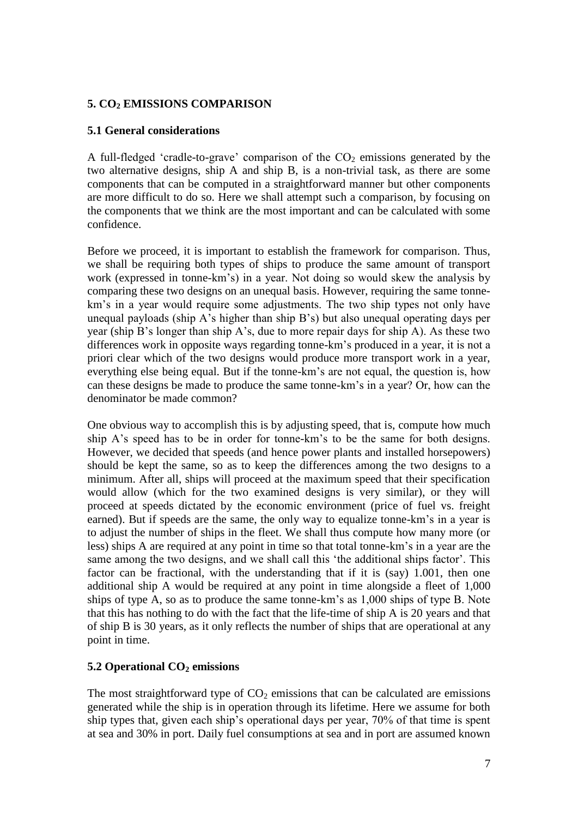# **5. CO<sup>2</sup> EMISSIONS COMPARISON**

## **5.1 General considerations**

A full-fledged 'cradle-to-grave' comparison of the  $CO<sub>2</sub>$  emissions generated by the two alternative designs, ship A and ship B, is a non-trivial task, as there are some components that can be computed in a straightforward manner but other components are more difficult to do so. Here we shall attempt such a comparison, by focusing on the components that we think are the most important and can be calculated with some confidence.

Before we proceed, it is important to establish the framework for comparison. Thus, we shall be requiring both types of ships to produce the same amount of transport work (expressed in tonne-km"s) in a year. Not doing so would skew the analysis by comparing these two designs on an unequal basis. However, requiring the same tonnekm's in a year would require some adjustments. The two ship types not only have unequal payloads (ship A"s higher than ship B"s) but also unequal operating days per year (ship B"s longer than ship A"s, due to more repair days for ship A). As these two differences work in opposite ways regarding tonne-km"s produced in a year, it is not a priori clear which of the two designs would produce more transport work in a year, everything else being equal. But if the tonne-km"s are not equal, the question is, how can these designs be made to produce the same tonne-km"s in a year? Or, how can the denominator be made common?

One obvious way to accomplish this is by adjusting speed, that is, compute how much ship A"s speed has to be in order for tonne-km"s to be the same for both designs. However, we decided that speeds (and hence power plants and installed horsepowers) should be kept the same, so as to keep the differences among the two designs to a minimum. After all, ships will proceed at the maximum speed that their specification would allow (which for the two examined designs is very similar), or they will proceed at speeds dictated by the economic environment (price of fuel vs. freight earned). But if speeds are the same, the only way to equalize tonne-km"s in a year is to adjust the number of ships in the fleet. We shall thus compute how many more (or less) ships A are required at any point in time so that total tonne-km"s in a year are the same among the two designs, and we shall call this 'the additional ships factor'. This factor can be fractional, with the understanding that if it is (say) 1.001, then one additional ship A would be required at any point in time alongside a fleet of 1,000 ships of type A, so as to produce the same tonne-km"s as 1,000 ships of type B. Note that this has nothing to do with the fact that the life-time of ship A is 20 years and that of ship B is 30 years, as it only reflects the number of ships that are operational at any point in time.

# **5.2 Operational CO<sup>2</sup> emissions**

The most straightforward type of  $CO<sub>2</sub>$  emissions that can be calculated are emissions generated while the ship is in operation through its lifetime. Here we assume for both ship types that, given each ship"s operational days per year, 70% of that time is spent at sea and 30% in port. Daily fuel consumptions at sea and in port are assumed known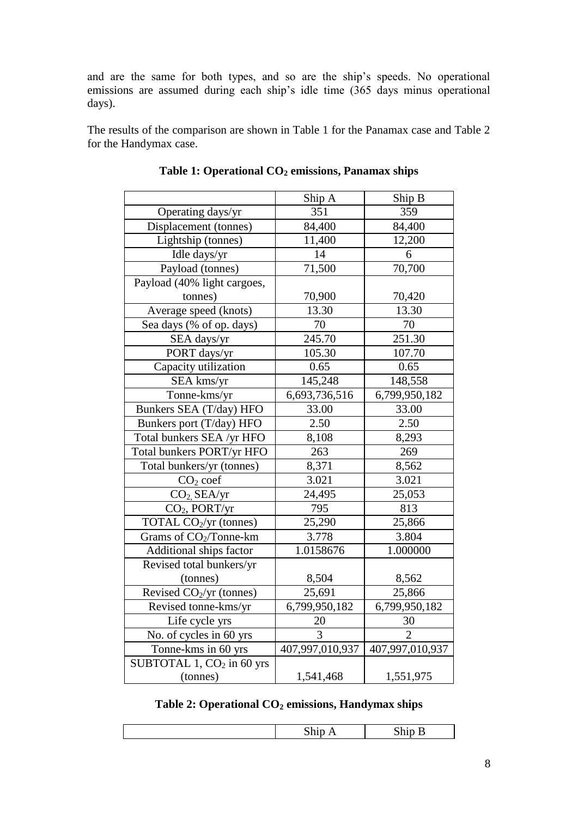and are the same for both types, and so are the ship"s speeds. No operational emissions are assumed during each ship's idle time (365 days minus operational days).

The results of the comparison are shown in Table 1 for the Panamax case and Table 2 for the Handymax case.

|                                    | Ship A          | Ship B          |
|------------------------------------|-----------------|-----------------|
| Operating days/yr                  | 351             | 359             |
| Displacement (tonnes)              | 84,400          | 84,400          |
| Lightship (tonnes)                 | 11,400          | 12,200          |
| Idle days/yr                       | 14              | 6               |
| Payload (tonnes)                   | 71,500          | 70,700          |
| Payload (40% light cargoes,        |                 |                 |
| tonnes)                            | 70,900          | 70,420          |
| Average speed (knots)              | 13.30           | 13.30           |
| Sea days (% of op. days)           | 70              | 70              |
| SEA days/yr                        | 245.70          | 251.30          |
| PORT days/yr                       | 105.30          | 107.70          |
| Capacity utilization               | 0.65            | 0.65            |
| SEA kms/yr                         | 145,248         | 148,558         |
| Tonne-kms/yr                       | 6,693,736,516   | 6,799,950,182   |
| Bunkers SEA (T/day) HFO            | 33.00           | 33.00           |
| Bunkers port (T/day) HFO           | 2.50            | 2.50            |
| Total bunkers SEA /yr HFO          | 8,108           | 8,293           |
| Total bunkers PORT/yr HFO          | 263             | 269             |
| Total bunkers/yr (tonnes)          | 8,371           | 8,562           |
| $CO2$ coef                         | 3.021           | 3.021           |
| $CO2$ SEA/yr                       | 24,495          | 25,053          |
| $CO2$ , PORT/yr                    | 795             | 813             |
| TOTAL CO <sub>2</sub> /yr (tonnes) | 25,290          | 25,866          |
| Grams of CO <sub>2</sub> /Tonne-km | 3.778           | 3.804           |
| Additional ships factor            | 1.0158676       | 1.000000        |
| Revised total bunkers/yr           |                 |                 |
| (tonnes)                           | 8,504           | 8,562           |
| Revised $CO2/yr$ (tonnes)          | 25,691          | 25,866          |
| Revised tonne-kms/yr               | 6,799,950,182   | 6,799,950,182   |
| Life cycle yrs                     | 20              | 30              |
| No. of cycles in 60 yrs            | 3               | 2               |
| Tonne-kms in 60 yrs                | 407,997,010,937 | 407,997,010,937 |
| SUBTOTAL 1, $CO2$ in 60 yrs        |                 |                 |
| (tonnes)                           | 1,541,468       | 1,551,975       |

| Table 1: Operational CO <sub>2</sub> emissions, Panamax ships |  |  |  |  |
|---------------------------------------------------------------|--|--|--|--|
|---------------------------------------------------------------|--|--|--|--|

# **Table 2: Operational CO<sup>2</sup> emissions, Handymax ships**

|--|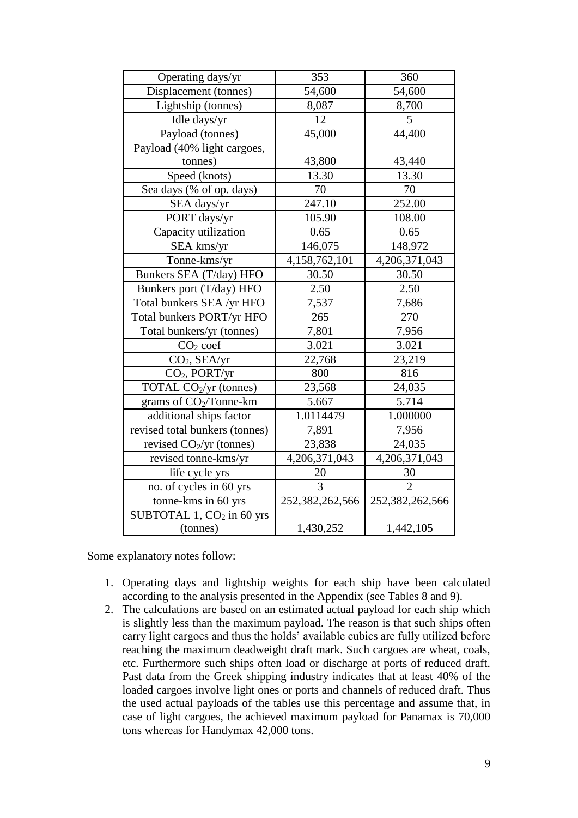| Operating days/yr                     | 353             | 360                         |
|---------------------------------------|-----------------|-----------------------------|
| Displacement (tonnes)                 | 54,600          | 54,600                      |
| Lightship (tonnes)                    | 8,087           | 8,700                       |
| Idle days/yr                          | 12              | 5                           |
| Payload (tonnes)                      | 45,000          | 44,400                      |
| Payload (40% light cargoes,           |                 |                             |
| tonnes)                               | 43,800          | 43,440                      |
| Speed (knots)                         | 13.30           | 13.30                       |
| Sea days (% of op. days)              | 70              | 70                          |
| SEA days/yr                           | 247.10          | 252.00                      |
| PORT days/yr                          | 105.90          | 108.00                      |
| Capacity utilization                  | 0.65            | 0.65                        |
| SEA kms/yr                            | 146,075         | 148,972                     |
| Tonne-kms/yr                          | 4,158,762,101   | 4,206,371,043               |
| Bunkers SEA (T/day) HFO               | 30.50           | 30.50                       |
| Bunkers port (T/day) HFO              | 2.50            | 2.50                        |
| Total bunkers SEA /yr HFO             | 7,537           | 7,686                       |
| Total bunkers PORT/yr HFO             | 265             | 270                         |
| Total bunkers/yr (tonnes)             | 7,801           | 7,956                       |
| $CO2$ coef                            | 3.021           | 3.021                       |
| $CO2$ , SEA/yr                        | 22,768          | 23,219                      |
| CO <sub>2</sub> , PORT/yr             | 800             | 816                         |
| TOTAL CO <sub>2</sub> /yr (tonnes)    | 23,568          | 24,035                      |
| grams of $CO2/Tonne-km$               | 5.667           | 5.714                       |
| additional ships factor               | 1.0114479       | 1.000000                    |
| revised total bunkers (tonnes)        | 7,891           | 7,956                       |
| revised $CO_2/yr$ (tonnes)            | 23,838          | 24,035                      |
| revised tonne-kms/yr                  | 4,206,371,043   | 4,206,371,043               |
| life cycle yrs                        | 20              | 30                          |
| no. of cycles in 60 yrs               | 3               | $\mathcal{D}_{\mathcal{L}}$ |
| tonne-kms in 60 yrs                   | 252,382,262,566 | 252,382,262,566             |
| SUBTOTAL 1, CO <sub>2</sub> in 60 yrs |                 |                             |
| (tonnes)                              | 1,430,252       | 1,442,105                   |

Some explanatory notes follow:

- 1. Operating days and lightship weights for each ship have been calculated according to the analysis presented in the Appendix (see Tables 8 and 9).
- 2. The calculations are based on an estimated actual payload for each ship which is slightly less than the maximum payload. The reason is that such ships often carry light cargoes and thus the holds" available cubics are fully utilized before reaching the maximum deadweight draft mark. Such cargoes are wheat, coals, etc. Furthermore such ships often load or discharge at ports of reduced draft. Past data from the Greek shipping industry indicates that at least 40% of the loaded cargoes involve light ones or ports and channels of reduced draft. Thus the used actual payloads of the tables use this percentage and assume that, in case of light cargoes, the achieved maximum payload for Panamax is 70,000 tons whereas for Handymax 42,000 tons.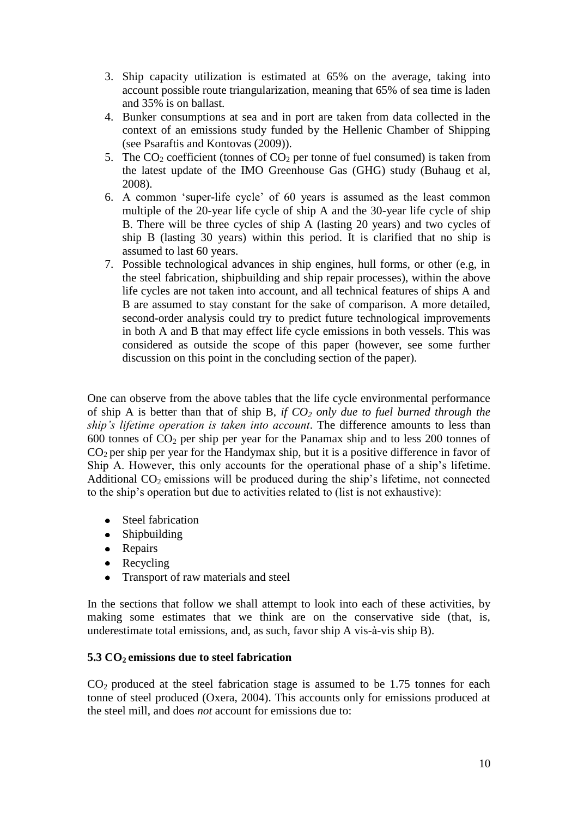- 3. Ship capacity utilization is estimated at 65% on the average, taking into account possible route triangularization, meaning that 65% of sea time is laden and 35% is on ballast.
- 4. Bunker consumptions at sea and in port are taken from data collected in the context of an emissions study funded by the Hellenic Chamber of Shipping (see Psaraftis and Kontovas (2009)).
- 5. The  $CO<sub>2</sub>$  coefficient (tonnes of  $CO<sub>2</sub>$  per tonne of fuel consumed) is taken from the latest update of the IMO Greenhouse Gas (GHG) study (Buhaug et al, 2008).
- 6. A common "super-life cycle" of 60 years is assumed as the least common multiple of the 20-year life cycle of ship A and the 30-year life cycle of ship B. There will be three cycles of ship A (lasting 20 years) and two cycles of ship B (lasting 30 years) within this period. It is clarified that no ship is assumed to last 60 years.
- 7. Possible technological advances in ship engines, hull forms, or other (e.g, in the steel fabrication, shipbuilding and ship repair processes), within the above life cycles are not taken into account, and all technical features of ships A and B are assumed to stay constant for the sake of comparison. A more detailed, second-order analysis could try to predict future technological improvements in both A and B that may effect life cycle emissions in both vessels. This was considered as outside the scope of this paper (however, see some further discussion on this point in the concluding section of the paper).

One can observe from the above tables that the life cycle environmental performance of ship A is better than that of ship B, *if CO<sup>2</sup> only due to fuel burned through the ship's lifetime operation is taken into account*. The difference amounts to less than 600 tonnes of  $CO<sub>2</sub>$  per ship per year for the Panamax ship and to less 200 tonnes of  $CO<sub>2</sub>$  per ship per year for the Handymax ship, but it is a positive difference in favor of Ship A. However, this only accounts for the operational phase of a ship"s lifetime. Additional  $CO<sub>2</sub>$  emissions will be produced during the ship's lifetime, not connected to the ship"s operation but due to activities related to (list is not exhaustive):

- Steel fabrication
- Shipbuilding
- Repairs
- Recycling
- Transport of raw materials and steel

In the sections that follow we shall attempt to look into each of these activities, by making some estimates that we think are on the conservative side (that, is, underestimate total emissions, and, as such, favor ship A vis-à-vis ship B).

# **5.3 CO2 emissions due to steel fabrication**

 $CO<sub>2</sub>$  produced at the steel fabrication stage is assumed to be 1.75 tonnes for each tonne of steel produced (Oxera, 2004). This accounts only for emissions produced at the steel mill, and does *not* account for emissions due to: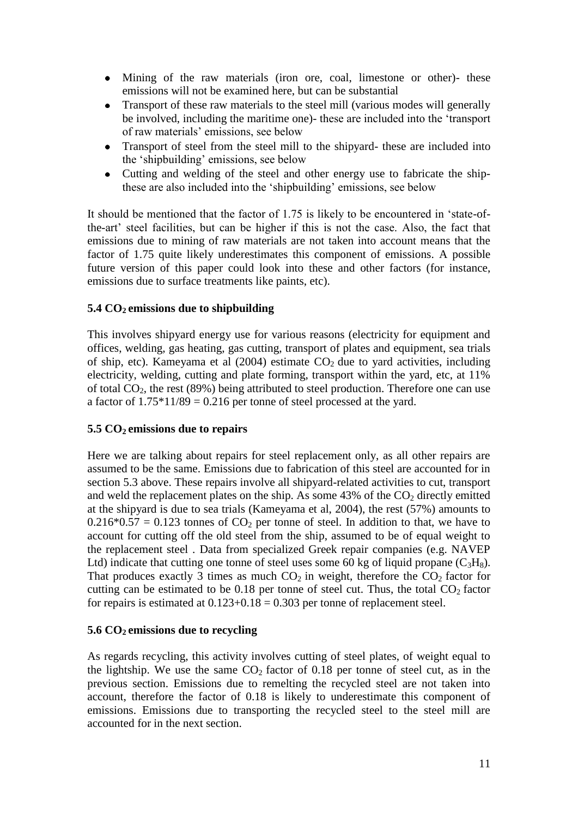- Mining of the raw materials (iron ore, coal, limestone or other)- these emissions will not be examined here, but can be substantial
- Transport of these raw materials to the steel mill (various modes will generally  $\bullet$ be involved, including the maritime one)- these are included into the "transport of raw materials" emissions, see below
- $\bullet$ Transport of steel from the steel mill to the shipyard- these are included into the "shipbuilding" emissions, see below
- Cutting and welding of the steel and other energy use to fabricate the shipthese are also included into the "shipbuilding" emissions, see below

It should be mentioned that the factor of 1.75 is likely to be encountered in "state-ofthe-art" steel facilities, but can be higher if this is not the case. Also, the fact that emissions due to mining of raw materials are not taken into account means that the factor of 1.75 quite likely underestimates this component of emissions. A possible future version of this paper could look into these and other factors (for instance, emissions due to surface treatments like paints, etc).

# **5.4 CO2 emissions due to shipbuilding**

This involves shipyard energy use for various reasons (electricity for equipment and offices, welding, gas heating, gas cutting, transport of plates and equipment, sea trials of ship, etc). Kameyama et al  $(2004)$  estimate  $CO<sub>2</sub>$  due to yard activities, including electricity, welding, cutting and plate forming, transport within the yard, etc, at 11% of total  $CO<sub>2</sub>$ , the rest (89%) being attributed to steel production. Therefore one can use a factor of  $1.75*11/89 = 0.216$  per tonne of steel processed at the yard.

### **5.5 CO2 emissions due to repairs**

Here we are talking about repairs for steel replacement only, as all other repairs are assumed to be the same. Emissions due to fabrication of this steel are accounted for in section 5.3 above. These repairs involve all shipyard-related activities to cut, transport and weld the replacement plates on the ship. As some  $43\%$  of the CO<sub>2</sub> directly emitted at the shipyard is due to sea trials (Kameyama et al, 2004), the rest (57%) amounts to  $0.216*0.57 = 0.123$  tonnes of CO<sub>2</sub> per tonne of steel. In addition to that, we have to account for cutting off the old steel from the ship, assumed to be of equal weight to the replacement steel . Data from specialized Greek repair companies (e.g. NAVEP Ltd) indicate that cutting one tonne of steel uses some 60 kg of liquid propane  $(C_3H_8)$ . That produces exactly 3 times as much  $CO<sub>2</sub>$  in weight, therefore the  $CO<sub>2</sub>$  factor for cutting can be estimated to be  $0.18$  per tonne of steel cut. Thus, the total  $CO<sub>2</sub>$  factor for repairs is estimated at  $0.123+0.18 = 0.303$  per tonne of replacement steel.

### **5.6 CO2 emissions due to recycling**

As regards recycling, this activity involves cutting of steel plates, of weight equal to the lightship. We use the same  $CO<sub>2</sub>$  factor of 0.18 per tonne of steel cut, as in the previous section. Emissions due to remelting the recycled steel are not taken into account, therefore the factor of 0.18 is likely to underestimate this component of emissions. Emissions due to transporting the recycled steel to the steel mill are accounted for in the next section.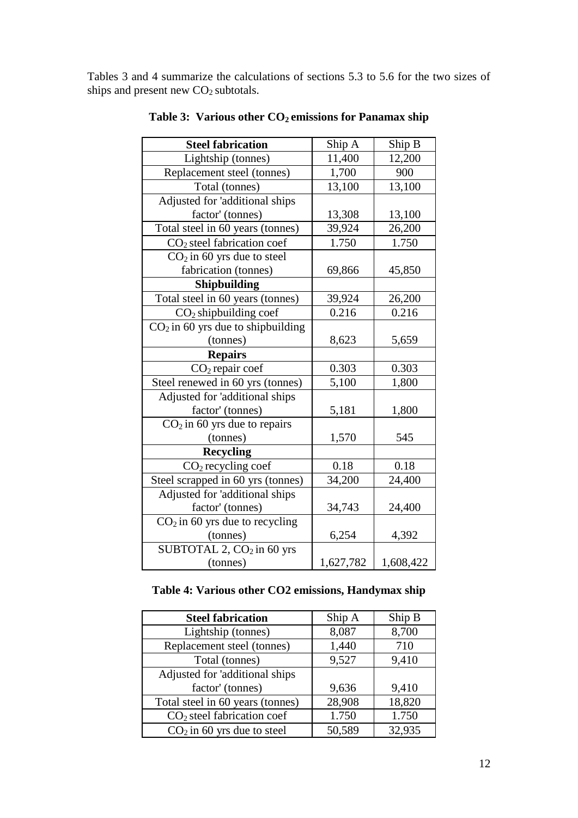Tables 3 and 4 summarize the calculations of sections 5.3 to 5.6 for the two sizes of ships and present new CO<sub>2</sub> subtotals.

| <b>Steel fabrication</b>              | Ship A    | Ship B    |
|---------------------------------------|-----------|-----------|
| Lightship (tonnes)                    | 11,400    | 12,200    |
| Replacement steel (tonnes)            | 1,700     | 900       |
| Total (tonnes)                        | 13,100    | 13,100    |
| Adjusted for 'additional ships        |           |           |
| factor' (tonnes)                      | 13,308    | 13,100    |
| Total steel in 60 years (tonnes)      | 39,924    | 26,200    |
| $CO2$ steel fabrication coef          | 1.750     | 1.750     |
| $CO2$ in 60 yrs due to steel          |           |           |
| fabrication (tonnes)                  | 69,866    | 45,850    |
| Shipbuilding                          |           |           |
| Total steel in 60 years (tonnes)      | 39,924    | 26,200    |
| $CO2$ shipbuilding coef               | 0.216     | 0.216     |
| $CO2$ in 60 yrs due to shipbuilding   |           |           |
| (tonnes)                              | 8,623     | 5,659     |
| <b>Repairs</b>                        |           |           |
| $CO2$ repair coef                     | 0.303     | 0.303     |
| Steel renewed in 60 yrs (tonnes)      | 5,100     | 1,800     |
| Adjusted for 'additional ships        |           |           |
| factor' (tonnes)                      | 5,181     | 1,800     |
| $CO2$ in 60 yrs due to repairs        |           |           |
| (tonnes)                              | 1,570     | 545       |
| <b>Recycling</b>                      |           |           |
| $CO2$ recycling coef                  | 0.18      | 0.18      |
| Steel scrapped in 60 yrs (tonnes)     | 34,200    | 24,400    |
| Adjusted for 'additional ships        |           |           |
| factor' (tonnes)                      | 34,743    | 24,400    |
| $CO2$ in 60 yrs due to recycling      |           |           |
| (tonnes)                              | 6,254     | 4,392     |
| SUBTOTAL 2, CO <sub>2</sub> in 60 yrs |           |           |
| (tonnes)                              | 1,627,782 | 1,608,422 |

**Table 3: Various other CO2 emissions for Panamax ship**

# **Table 4: Various other CO2 emissions, Handymax ship**

| <b>Steel fabrication</b>               | Ship A | Ship B |
|----------------------------------------|--------|--------|
| Lightship (tonnes)                     | 8,087  | 8,700  |
| Replacement steel (tonnes)             | 1,440  | 710    |
| Total (tonnes)                         | 9,527  | 9,410  |
| Adjusted for 'additional ships         |        |        |
| factor' (tonnes)                       | 9,636  | 9,410  |
| Total steel in 60 years (tonnes)       | 28,908 | 18,820 |
| CO <sub>2</sub> steel fabrication coef | 1.750  | 1.750  |
| $CO2$ in 60 yrs due to steel           | 50,589 | 32,935 |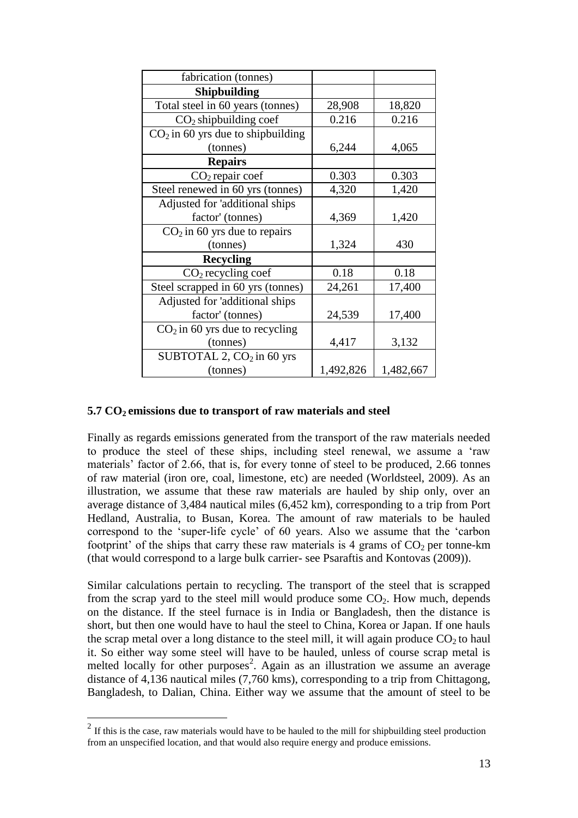| fabrication (tonnes)                |           |           |
|-------------------------------------|-----------|-----------|
| <b>Shipbuilding</b>                 |           |           |
| Total steel in 60 years (tonnes)    | 28,908    | 18,820    |
| $CO2$ shipbuilding coef             | 0.216     | 0.216     |
| $CO2$ in 60 yrs due to shipbuilding |           |           |
| (tonnes)                            | 6,244     | 4,065     |
| <b>Repairs</b>                      |           |           |
| $CO2$ repair coef                   | 0.303     | 0.303     |
| Steel renewed in 60 yrs (tonnes)    | 4,320     | 1,420     |
| Adjusted for 'additional ships      |           |           |
| factor' (tonnes)                    | 4,369     | 1,420     |
| $CO2$ in 60 yrs due to repairs      |           |           |
| (tonnes)                            | 1,324     | 430       |
| <b>Recycling</b>                    |           |           |
| $CO2$ recycling coef                | 0.18      | 0.18      |
| Steel scrapped in 60 yrs (tonnes)   | 24,261    | 17,400    |
| Adjusted for 'additional ships      |           |           |
| factor' (tonnes)                    | 24,539    | 17,400    |
| $CO2$ in 60 yrs due to recycling    |           |           |
| (tonnes)                            | 4,417     | 3,132     |
| SUBTOTAL 2, $CO2$ in 60 yrs         |           |           |
| (tonnes)                            | 1,492,826 | 1,482,667 |

## **5.7 CO2 emissions due to transport of raw materials and steel**

Finally as regards emissions generated from the transport of the raw materials needed to produce the steel of these ships, including steel renewal, we assume a "raw materials' factor of 2.66, that is, for every tonne of steel to be produced, 2.66 tonnes of raw material (iron ore, coal, limestone, etc) are needed (Worldsteel, 2009). As an illustration, we assume that these raw materials are hauled by ship only, over an average distance of 3,484 nautical miles (6,452 km), corresponding to a trip from Port Hedland, Australia, to Busan, Korea. The amount of raw materials to be hauled correspond to the "super-life cycle" of 60 years. Also we assume that the "carbon footprint' of the ships that carry these raw materials is 4 grams of  $CO<sub>2</sub>$  per tonne-km (that would correspond to a large bulk carrier- see Psaraftis and Kontovas (2009)).

Similar calculations pertain to recycling. The transport of the steel that is scrapped from the scrap yard to the steel mill would produce some  $CO<sub>2</sub>$ . How much, depends on the distance. If the steel furnace is in India or Bangladesh, then the distance is short, but then one would have to haul the steel to China, Korea or Japan. If one hauls the scrap metal over a long distance to the steel mill, it will again produce  $CO<sub>2</sub>$  to haul it. So either way some steel will have to be hauled, unless of course scrap metal is melted locally for other purposes<sup>2</sup>. Again as an illustration we assume an average distance of 4,136 nautical miles (7,760 kms), corresponding to a trip from Chittagong, Bangladesh, to Dalian, China. Either way we assume that the amount of steel to be

 $\frac{1}{2}$  If this is the case, raw materials would have to be hauled to the mill for shipbuilding steel production from an unspecified location, and that would also require energy and produce emissions.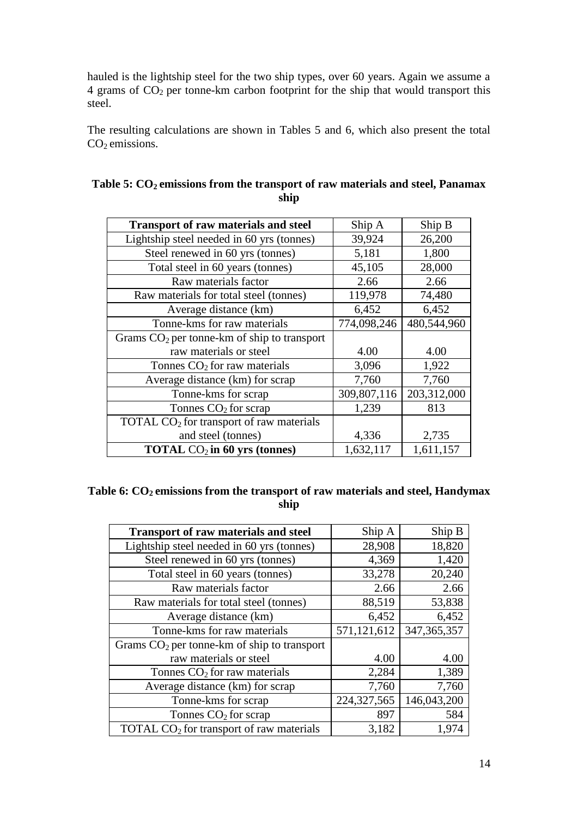hauled is the lightship steel for the two ship types, over 60 years. Again we assume a  $4$  grams of  $CO<sub>2</sub>$  per tonne-km carbon footprint for the ship that would transport this steel.

The resulting calculations are shown in Tables 5 and 6, which also present the total CO<sub>2</sub> emissions.

| <b>Transport of raw materials and steel</b>   | Ship A      | Ship B      |
|-----------------------------------------------|-------------|-------------|
| Lightship steel needed in 60 yrs (tonnes)     | 39,924      | 26,200      |
| Steel renewed in 60 yrs (tonnes)              | 5,181       | 1,800       |
| Total steel in 60 years (tonnes)              | 45,105      | 28,000      |
| Raw materials factor                          | 2.66        | 2.66        |
| Raw materials for total steel (tonnes)        | 119,978     | 74,480      |
| Average distance (km)                         | 6,452       | 6,452       |
| Tonne-kms for raw materials                   | 774,098,246 | 480,544,960 |
| Grams $CO2$ per tonne-km of ship to transport |             |             |
| raw materials or steel                        | 4.00        | 4.00        |
| Tonnes $CO2$ for raw materials                | 3,096       | 1,922       |
| Average distance (km) for scrap               | 7,760       | 7,760       |
| Tonne-kms for scrap                           | 309,807,116 | 203,312,000 |
| Tonnes $CO2$ for scrap                        | 1,239       | 813         |
| TOTAL $CO2$ for transport of raw materials    |             |             |
| and steel (tonnes)                            | 4,336       | 2,735       |
| <b>TOTAL</b> $CO2$ in 60 yrs (tonnes)         | 1,632,117   | 1,611,157   |

| Table 5: $CO2$ emissions from the transport of raw materials and steel, Panamax |
|---------------------------------------------------------------------------------|
| ship                                                                            |

# **Table 6: CO2 emissions from the transport of raw materials and steel, Handymax ship**

| <b>Transport of raw materials and steel</b>   | Ship A        | Ship B        |
|-----------------------------------------------|---------------|---------------|
| Lightship steel needed in 60 yrs (tonnes)     | 28,908        | 18,820        |
| Steel renewed in 60 yrs (tonnes)              | 4,369         | 1,420         |
| Total steel in 60 years (tonnes)              | 33,278        | 20,240        |
| Raw materials factor                          | 2.66          | 2.66          |
| Raw materials for total steel (tonnes)        | 88,519        | 53,838        |
| Average distance (km)                         | 6,452         | 6,452         |
| Tonne-kms for raw materials                   | 571,121,612   | 347, 365, 357 |
| Grams $CO2$ per tonne-km of ship to transport |               |               |
| raw materials or steel                        | 4.00          | 4.00          |
| Tonnes $CO2$ for raw materials                | 2,284         | 1,389         |
| Average distance (km) for scrap               | 7,760         | 7,760         |
| Tonne-kms for scrap                           | 224, 327, 565 | 146,043,200   |
| Tonnes $CO2$ for scrap                        | 897           | 584           |
| TOTAL $CO2$ for transport of raw materials    | 3,182         | 1,974         |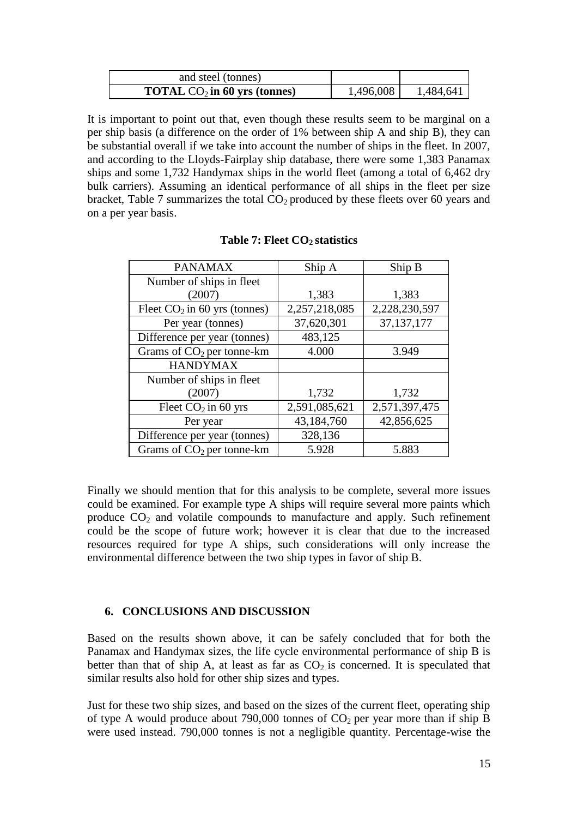| and steel (tonnes)                    |           |           |
|---------------------------------------|-----------|-----------|
| <b>TOTAL</b> $CO2$ in 60 yrs (tonnes) | 1,496,008 | 1,484,641 |

It is important to point out that, even though these results seem to be marginal on a per ship basis (a difference on the order of 1% between ship A and ship B), they can be substantial overall if we take into account the number of ships in the fleet. In 2007, and according to the Lloyds-Fairplay ship database, there were some 1,383 Panamax ships and some 1,732 Handymax ships in the world fleet (among a total of 6,462 dry bulk carriers). Assuming an identical performance of all ships in the fleet per size bracket, Table 7 summarizes the total  $CO<sub>2</sub>$  produced by these fleets over 60 years and on a per year basis.

| <b>PANAMAX</b>                 | Ship A        | Ship B        |
|--------------------------------|---------------|---------------|
| Number of ships in fleet       |               |               |
| (2007)                         | 1,383         | 1,383         |
| Fleet $CO2$ in 60 yrs (tonnes) | 2,257,218,085 | 2,228,230,597 |
| Per year (tonnes)              | 37,620,301    | 37, 137, 177  |
| Difference per year (tonnes)   | 483,125       |               |
| Grams of $CO2$ per tonne-km    | 4.000         | 3.949         |
| <b>HANDYMAX</b>                |               |               |
| Number of ships in fleet       |               |               |
| (2007)                         | 1,732         | 1,732         |
| Fleet $CO2$ in 60 yrs          | 2,591,085,621 | 2,571,397,475 |
| Per year                       | 43,184,760    | 42,856,625    |
| Difference per year (tonnes)   | 328,136       |               |
| Grams of $CO2$ per tonne-km    | 5.928         | 5.883         |

**Table 7: Fleet CO2 statistics**

Finally we should mention that for this analysis to be complete, several more issues could be examined. For example type A ships will require several more paints which produce  $CO<sub>2</sub>$  and volatile compounds to manufacture and apply. Such refinement could be the scope of future work; however it is clear that due to the increased resources required for type A ships, such considerations will only increase the environmental difference between the two ship types in favor of ship B.

# **6. CONCLUSIONS AND DISCUSSION**

Based on the results shown above, it can be safely concluded that for both the Panamax and Handymax sizes, the life cycle environmental performance of ship B is better than that of ship A, at least as far as  $CO<sub>2</sub>$  is concerned. It is speculated that similar results also hold for other ship sizes and types.

Just for these two ship sizes, and based on the sizes of the current fleet, operating ship of type A would produce about 790,000 tonnes of  $CO<sub>2</sub>$  per year more than if ship B were used instead. 790,000 tonnes is not a negligible quantity. Percentage-wise the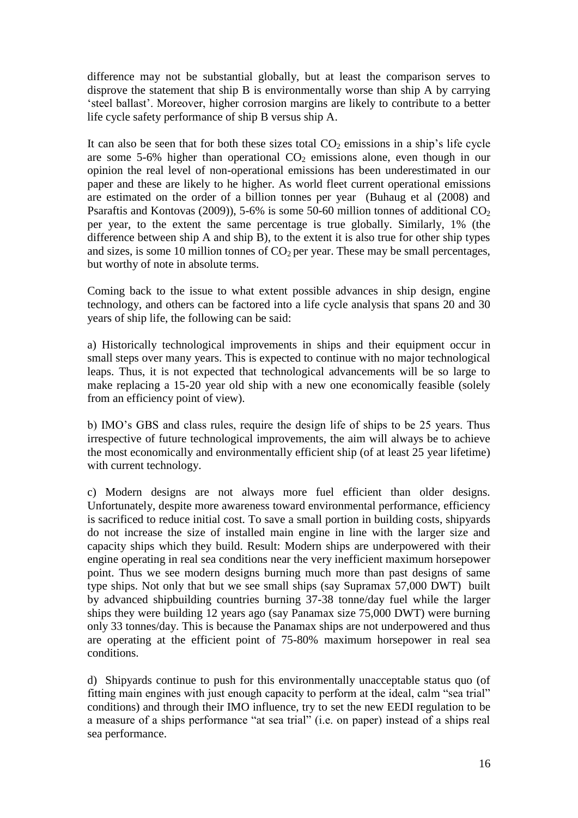difference may not be substantial globally, but at least the comparison serves to disprove the statement that ship B is environmentally worse than ship A by carrying "steel ballast". Moreover, higher corrosion margins are likely to contribute to a better life cycle safety performance of ship B versus ship A.

It can also be seen that for both these sizes total  $CO<sub>2</sub>$  emissions in a ship's life cycle are some 5-6% higher than operational  $CO<sub>2</sub>$  emissions alone, even though in our opinion the real level of non-operational emissions has been underestimated in our paper and these are likely to he higher. As world fleet current operational emissions are estimated on the order of a billion tonnes per year (Buhaug et al (2008) and Psaraftis and Kontovas (2009)), 5-6% is some 50-60 million tonnes of additional  $CO<sub>2</sub>$ per year, to the extent the same percentage is true globally. Similarly, 1% (the difference between ship A and ship B), to the extent it is also true for other ship types and sizes, is some 10 million tonnes of  $CO<sub>2</sub>$  per year. These may be small percentages, but worthy of note in absolute terms.

Coming back to the issue to what extent possible advances in ship design, engine technology, and others can be factored into a life cycle analysis that spans 20 and 30 years of ship life, the following can be said:

a) Historically technological improvements in ships and their equipment occur in small steps over many years. This is expected to continue with no major technological leaps. Thus, it is not expected that technological advancements will be so large to make replacing a 15-20 year old ship with a new one economically feasible (solely from an efficiency point of view).

b) IMO"s GBS and class rules, require the design life of ships to be 25 years. Thus irrespective of future technological improvements, the aim will always be to achieve the most economically and environmentally efficient ship (of at least 25 year lifetime) with current technology.

c) Modern designs are not always more fuel efficient than older designs. Unfortunately, despite more awareness toward environmental performance, efficiency is sacrificed to reduce initial cost. To save a small portion in building costs, shipyards do not increase the size of installed main engine in line with the larger size and capacity ships which they build. Result: Modern ships are underpowered with their engine operating in real sea conditions near the very inefficient maximum horsepower point. Thus we see modern designs burning much more than past designs of same type ships. Not only that but we see small ships (say Supramax 57,000 DWT) built by advanced shipbuilding countries burning 37-38 tonne/day fuel while the larger ships they were building 12 years ago (say Panamax size 75,000 DWT) were burning only 33 tonnes/day. This is because the Panamax ships are not underpowered and thus are operating at the efficient point of 75-80% maximum horsepower in real sea conditions.

d) Shipyards continue to push for this environmentally unacceptable status quo (of fitting main engines with just enough capacity to perform at the ideal, calm "sea trial" conditions) and through their IMO influence, try to set the new EEDI regulation to be a measure of a ships performance "at sea trial" (i.e. on paper) instead of a ships real sea performance.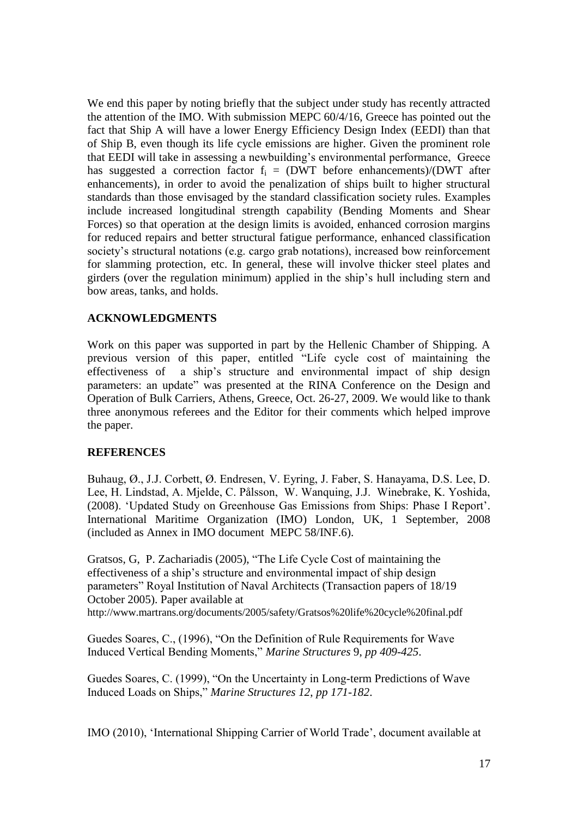We end this paper by noting briefly that the subject under study has recently attracted the attention of the IMO. With submission MEPC 60/4/16, Greece has pointed out the fact that Ship A will have a lower Energy Efficiency Design Index (EEDI) than that of Ship B, even though its life cycle emissions are higher. Given the prominent role that EEDI will take in assessing a newbuilding"s environmental performance, Greece has suggested a correction factor  $f_i = (DWT \text{ before enhancements})/(DWT \text{ after }$ enhancements), in order to avoid the penalization of ships built to higher structural standards than those envisaged by the standard classification society rules. Examples include increased longitudinal strength capability (Bending Moments and Shear Forces) so that operation at the design limits is avoided, enhanced corrosion margins for reduced repairs and better structural fatigue performance, enhanced classification society's structural notations (e.g. cargo grab notations), increased bow reinforcement for slamming protection, etc. In general, these will involve thicker steel plates and girders (over the regulation minimum) applied in the ship"s hull including stern and bow areas, tanks, and holds.

## **ACKNOWLEDGMENTS**

Work on this paper was supported in part by the Hellenic Chamber of Shipping. A previous version of this paper, entitled "Life cycle cost of maintaining the effectiveness of a ship"s structure and environmental impact of ship design parameters: an update" was presented at the RINA Conference on the Design and Operation of Bulk Carriers, Athens, Greece, Oct. 26-27, 2009. We would like to thank three anonymous referees and the Editor for their comments which helped improve the paper.

### **REFERENCES**

Buhaug, Ø., J.J. Corbett, Ø. Endresen, V. Eyring, J. Faber, S. Hanayama, D.S. Lee, D. Lee, H. Lindstad, A. Mjelde, C. Pålsson, W. Wanquing, J.J. Winebrake, K. Yoshida, (2008). "Updated Study on Greenhouse Gas Emissions from Ships: Phase I Report". International Maritime Organization (IMO) London, UK, 1 September, 2008 (included as Annex in IMO document MEPC 58/INF.6).

Gratsos, G, P. Zachariadis (2005), "The Life Cycle Cost of maintaining the effectiveness of a ship"s structure and environmental impact of ship design parameters" Royal Institution of Naval Architects (Transaction papers of 18/19 October 2005). Paper available at

http://www.martrans.org/documents/2005/safety/Gratsos%20life%20cycle%20final.pdf

Guedes Soares, C., (1996), "On the Definition of Rule Requirements for Wave Induced Vertical Bending Moments," *Marine Structures* 9, *pp 409-425*.

Guedes Soares, C. (1999), "On the Uncertainty in Long-term Predictions of Wave Induced Loads on Ships," *Marine Structures 12*, *pp 171-182*.

IMO (2010), "International Shipping Carrier of World Trade", document available at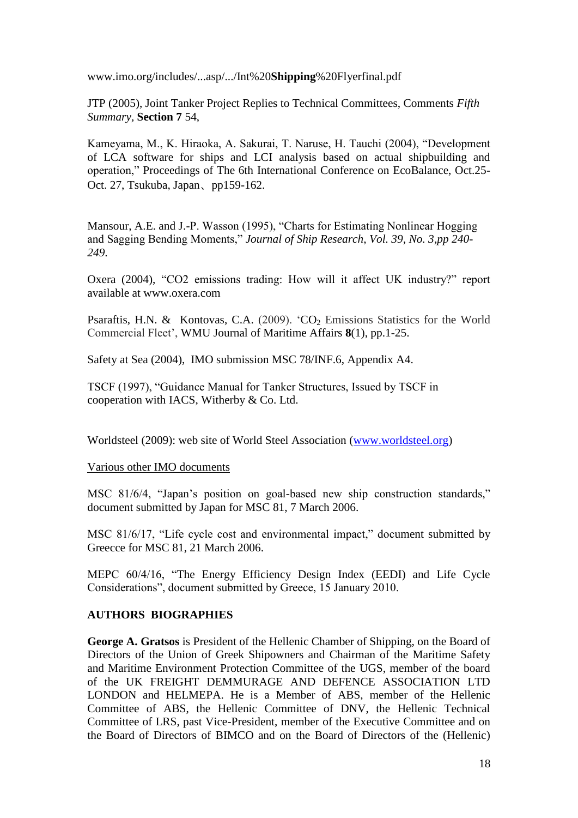www.imo.org/includes/...asp/.../Int%20**Shipping**%20Flyerfinal.pdf

JTP (2005), Joint Tanker Project Replies to Technical Committees, Comments *Fifth Summary,* **Section 7** 54,

Kameyama, M., K. Hiraoka, A. Sakurai, T. Naruse, H. Tauchi (2004), "Development of LCA software for ships and LCI analysis based on actual shipbuilding and operation," Proceedings of The 6th International Conference on EcoBalance, Oct.25- Oct. 27, Tsukuba, Japan、pp159-162.

Mansour, A.E. and J.-P. Wasson (1995), "Charts for Estimating Nonlinear Hogging and Sagging Bending Moments," *Journal of Ship Research*, *Vol. 39*, *No. 3,pp 240- 249*.

Oxera (2004), "CO2 emissions trading: How will it affect UK industry?" report available at www.oxera.com

Psaraftis, H.N. & Kontovas, C.A. (2009).  $CO<sub>2</sub>$  Emissions Statistics for the World Commercial Fleet", WMU Journal of Maritime Affairs **8**(1), pp.1-25.

Safety at Sea (2004), IMO submission MSC 78/INF.6, Appendix A4.

TSCF (1997), "Guidance Manual for Tanker Structures, Issued by TSCF in cooperation with IACS, Witherby & Co. Ltd.

Worldsteel (2009): web site of World Steel Association [\(www.worldsteel.org\)](http://www.worldsteel.org/)

### Various other IMO documents

MSC 81/6/4, "Japan"s position on goal-based new ship construction standards," document submitted by Japan for MSC 81, 7 March 2006.

MSC 81/6/17, "Life cycle cost and environmental impact," document submitted by Greecce for MSC 81, 21 March 2006.

MEPC 60/4/16, "The Energy Efficiency Design Index (EEDI) and Life Cycle Considerations", document submitted by Greece, 15 January 2010.

# **AUTHORS BIOGRAPHIES**

**George A. Gratsos** is President of the Hellenic Chamber of Shipping, on the Board of Directors of the Union of Greek Shipowners and Chairman of the Maritime Safety and Maritime Environment Protection Committee of the UGS, member of the board of the UK FREIGHT DEMMURAGE AND DEFENCE ASSOCIATION LTD LONDON and HELMEPA. He is a Member of ABS, member of the Hellenic Committee of ABS, the Hellenic Committee of DNV, the Hellenic Technical Committee of LRS, past Vice-President, member of the Executive Committee and on the Board of Directors of BIMCO and on the Board of Directors of the (Hellenic)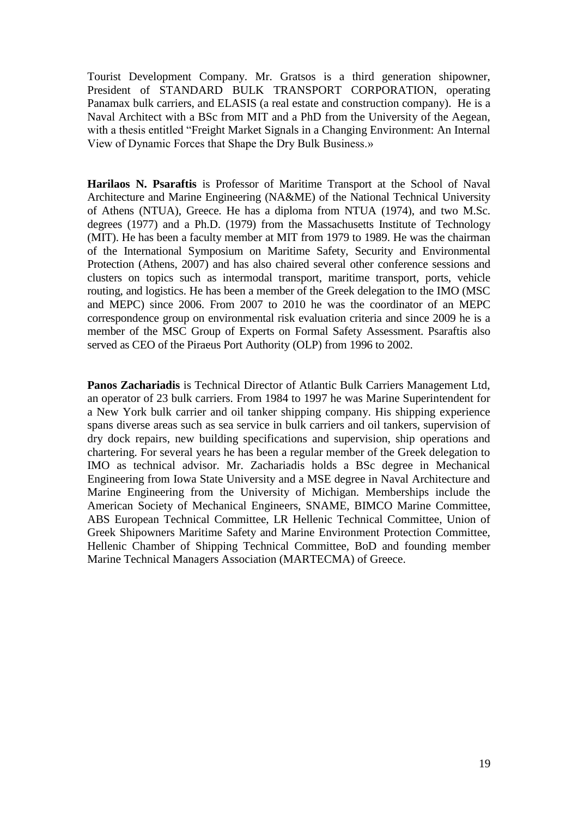Tourist Development Company. Mr. Gratsos is a third generation shipowner, President of STANDARD BULK TRANSPORT CORPORATION, operating Panamax bulk carriers, and ELASIS (a real estate and construction company). He is a Naval Architect with a BSc from MIT and a PhD from the University of the Aegean, with a thesis entitled "Freight Market Signals in a Changing Environment: An Internal View of Dynamic Forces that Shape the Dry Bulk Business.»

**Harilaos N. Psaraftis** is Professor of Maritime Transport at the School of Naval Architecture and Marine Engineering (NA&ME) of the National Technical University of Athens (NTUA), Greece. He has a diploma from NTUA (1974), and two M.Sc. degrees (1977) and a Ph.D. (1979) from the Massachusetts Institute of Technology (MIT). He has been a faculty member at MIT from 1979 to 1989. He was the chairman of the International Symposium on Maritime Safety, Security and Environmental Protection (Athens, 2007) and has also chaired several other conference sessions and clusters on topics such as intermodal transport, maritime transport, ports, vehicle routing, and logistics. He has been a member of the Greek delegation to the IMO (MSC and MEPC) since 2006. From 2007 to 2010 he was the coordinator of an MEPC correspondence group on environmental risk evaluation criteria and since 2009 he is a member of the MSC Group of Experts on Formal Safety Assessment. Psaraftis also served as CEO of the Piraeus Port Authority (OLP) from 1996 to 2002.

**Panos Zachariadis** is Technical Director of Atlantic Bulk Carriers Management Ltd, an operator of 23 bulk carriers. From 1984 to 1997 he was Marine Superintendent for a New York bulk carrier and oil tanker shipping company. His shipping experience spans diverse areas such as sea service in bulk carriers and oil tankers, supervision of dry dock repairs, new building specifications and supervision, ship operations and chartering. For several years he has been a regular member of the Greek delegation to IMO as technical advisor. Mr. Zachariadis holds a BSc degree in Mechanical Engineering from Iowa State University and a MSE degree in Naval Architecture and Marine Engineering from the University of Michigan. Memberships include the American Society of Mechanical Engineers, SNAME, BIMCO Marine Committee, ABS European Technical Committee, LR Hellenic Technical Committee, Union of Greek Shipowners Maritime Safety and Marine Environment Protection Committee, Hellenic Chamber of Shipping Technical Committee, BoD and founding member Marine Technical Managers Association (MARTECMA) of Greece.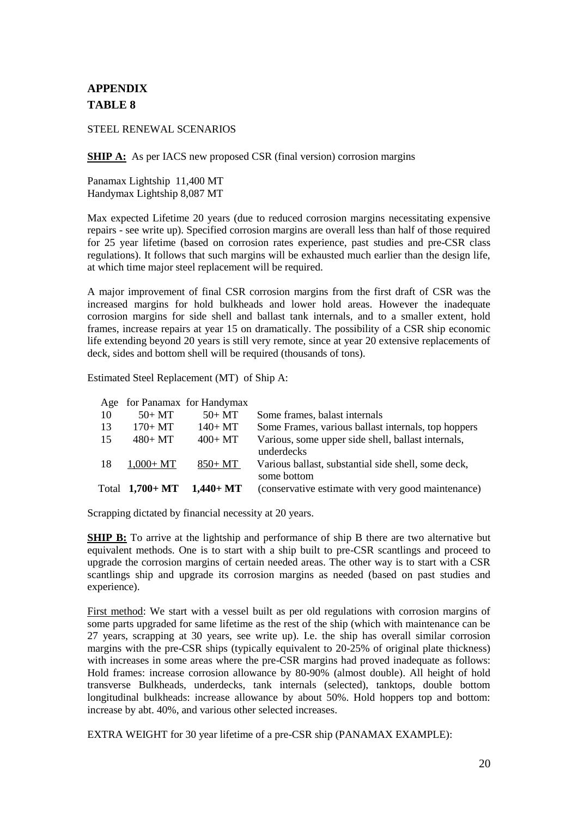# **APPENDIX TABLE 8**

STEEL RENEWAL SCENARIOS

**SHIP A:** As per IACS new proposed CSR (final version) corrosion margins

Panamax Lightship 11,400 MT Handymax Lightship 8,087 MT

Max expected Lifetime 20 years (due to reduced corrosion margins necessitating expensive repairs - see write up). Specified corrosion margins are overall less than half of those required for 25 year lifetime (based on corrosion rates experience, past studies and pre-CSR class regulations). It follows that such margins will be exhausted much earlier than the design life, at which time major steel replacement will be required.

A major improvement of final CSR corrosion margins from the first draft of CSR was the increased margins for hold bulkheads and lower hold areas. However the inadequate corrosion margins for side shell and ballast tank internals, and to a smaller extent, hold frames, increase repairs at year 15 on dramatically. The possibility of a CSR ship economic life extending beyond 20 years is still very remote, since at year 20 extensive replacements of deck, sides and bottom shell will be required (thousands of tons).

Estimated Steel Replacement (MT) of Ship A:

Age for Panamax for Handymax

| 10  | $50+MT$          | $50+MT$     | Some frames, balast internals                       |
|-----|------------------|-------------|-----------------------------------------------------|
| 13  | $170+MT$         | $140+MT$    | Some Frames, various ballast internals, top hoppers |
| 15. | $480 + MT$       | $400+MT$    | Various, some upper side shell, ballast internals,  |
|     |                  |             | underdecks                                          |
| 18  | $1.000 + MT$     | 850+ MT     | Various ballast, substantial side shell, some deck, |
|     |                  |             | some bottom                                         |
|     | Total $1,700+MT$ | $1,440+$ MT | (conservative estimate with very good maintenance)  |
|     |                  |             |                                                     |

Scrapping dictated by financial necessity at 20 years.

**SHIP B:** To arrive at the lightship and performance of ship B there are two alternative but equivalent methods. One is to start with a ship built to pre-CSR scantlings and proceed to upgrade the corrosion margins of certain needed areas. The other way is to start with a CSR scantlings ship and upgrade its corrosion margins as needed (based on past studies and experience).

First method: We start with a vessel built as per old regulations with corrosion margins of some parts upgraded for same lifetime as the rest of the ship (which with maintenance can be 27 years, scrapping at 30 years, see write up). I.e. the ship has overall similar corrosion margins with the pre-CSR ships (typically equivalent to 20-25% of original plate thickness) with increases in some areas where the pre-CSR margins had proved inadequate as follows: Hold frames: increase corrosion allowance by 80-90% (almost double). All height of hold transverse Bulkheads, underdecks, tank internals (selected), tanktops, double bottom longitudinal bulkheads: increase allowance by about 50%. Hold hoppers top and bottom: increase by abt. 40%, and various other selected increases.

EXTRA WEIGHT for 30 year lifetime of a pre-CSR ship (PANAMAX EXAMPLE):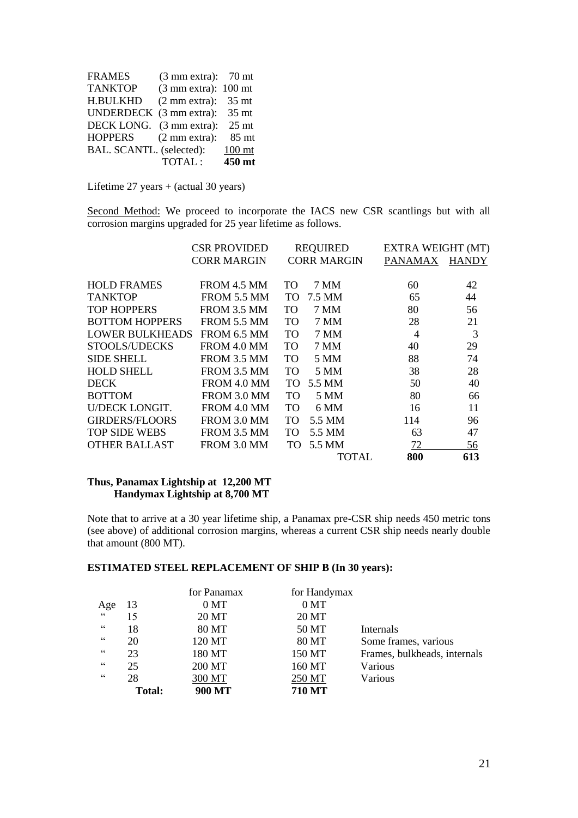| <b>FRAMES</b>            | $(3 \text{ mm extra})$ : 70 mt          |                   |
|--------------------------|-----------------------------------------|-------------------|
| <b>TANKTOP</b>           | $(3 \text{ mm} \text{ extra})$ : 100 mt |                   |
| <b>H.BULKHD</b>          | $(2 \text{ mm extra})$ :                | 35 <sub>mt</sub>  |
| UNDERDECK (3 mm extra):  |                                         | 35 mt             |
| DECK LONG. (3 mm extra): |                                         | $25$ mt           |
| <b>HOPPERS</b>           | $(2 \text{ mm} \text{ extra})$ :        | 85 mt             |
| BAL. SCANTL. (selected): |                                         | 100 <sub>mt</sub> |
|                          | TOTAL:                                  | 450 mt            |

Lifetime 27 years + (actual 30 years)

Second Method: We proceed to incorporate the IACS new CSR scantlings but with all corrosion margins upgraded for 25 year lifetime as follows.

|                        | <b>CSR PROVIDED</b> |                 | <b>REQUIRED</b>    | EXTRA WEIGHT (MT) |              |
|------------------------|---------------------|-----------------|--------------------|-------------------|--------------|
|                        | <b>CORR MARGIN</b>  |                 | <b>CORR MARGIN</b> | PANAMAX           | <b>HANDY</b> |
| <b>HOLD FRAMES</b>     | FROM 4.5 MM         | TO <sub>1</sub> | 7 MM               | 60                | 42           |
| <b>TANKTOP</b>         | FROM 5.5 MM         | TO.             | 7.5 MM             | 65                | 44           |
| <b>TOP HOPPERS</b>     | FROM 3.5 MM         | <b>TO</b>       | 7 MM               | 80                | 56           |
| <b>BOTTOM HOPPERS</b>  | FROM 5.5 MM         | TO.             | 7 MM               | 28                | 21           |
| <b>LOWER BULKHEADS</b> | FROM 6.5 MM         | TO              | 7 MM               | $\overline{4}$    | 3            |
| STOOLS/UDECKS          | FROM 4.0 MM         | TO.             | 7 MM               | 40                | 29           |
| <b>SIDE SHELL</b>      | FROM 3.5 MM         | TO              | 5 MM               | 88                | 74           |
| <b>HOLD SHELL</b>      | FROM 3.5 MM         | TO              | 5 MM               | 38                | 28           |
| <b>DECK</b>            | FROM 4.0 MM         | TO.             | 5.5 MM             | 50                | 40           |
| <b>BOTTOM</b>          | FROM 3.0 MM         | TO.             | 5 MM               | 80                | 66           |
| <b>U/DECK LONGIT.</b>  | FROM 4.0 MM         | TO.             | 6 MM               | 16                | 11           |
| GIRDERS/FLOORS         | FROM 3.0 MM         | TO.             | 5.5 MM             | 114               | 96           |
| <b>TOP SIDE WEBS</b>   | FROM 3.5 MM         | TO.             | 5.5 MM             | 63                | 47           |
| <b>OTHER BALLAST</b>   | FROM 3.0 MM         | TO.             | 5.5 MM             | 72                | 56           |
|                        |                     |                 | TOTAL              | 800               | 613          |

#### **Thus, Panamax Lightship at 12,200 MT Handymax Lightship at 8,700 MT**

Note that to arrive at a 30 year lifetime ship, a Panamax pre-CSR ship needs 450 metric tons (see above) of additional corrosion margins, whereas a current CSR ship needs nearly double that amount (800 MT).

### **ESTIMATED STEEL REPLACEMENT OF SHIP B (In 30 years):**

|                |               | for Panamax     | for Handymax    |                              |
|----------------|---------------|-----------------|-----------------|------------------------------|
| Age            | 13            | 0 <sub>MT</sub> | 0 <sub>MT</sub> |                              |
| $\zeta\,\zeta$ | 15            | 20 MT           | 20 MT           |                              |
| 66             | 18            | 80 MT           | 50 MT           | Internals                    |
| 66             | 20            | 120 MT          | 80 MT           | Some frames, various         |
| 66             | 23            | 180 MT          | 150 MT          | Frames, bulkheads, internals |
| 66             | 25            | 200 MT          | 160 MT          | Various                      |
| 66             | 28            | 300 MT          | 250 MT          | Various                      |
|                | <b>Total:</b> | 900 MT          | 710 MT          |                              |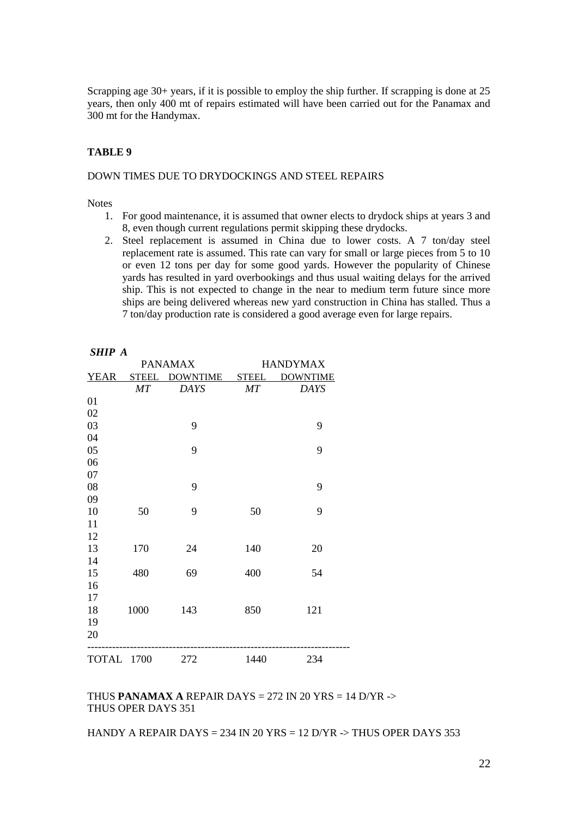Scrapping age 30+ years, if it is possible to employ the ship further. If scrapping is done at 25 years, then only 400 mt of repairs estimated will have been carried out for the Panamax and 300 mt for the Handymax.

#### **TABLE 9**

#### DOWN TIMES DUE TO DRYDOCKINGS AND STEEL REPAIRS

**Notes** 

*SHIP A* 

- 1. For good maintenance, it is assumed that owner elects to drydock ships at years 3 and 8, even though current regulations permit skipping these drydocks.
- 2. Steel replacement is assumed in China due to lower costs. A 7 ton/day steel replacement rate is assumed. This rate can vary for small or large pieces from 5 to 10 or even 12 tons per day for some good yards. However the popularity of Chinese yards has resulted in yard overbookings and thus usual waiting delays for the arrived ship. This is not expected to change in the near to medium term future since more ships are being delivered whereas new yard construction in China has stalled. Thus a 7 ton/day production rate is considered a good average even for large repairs.

| ,,,,,<br>. . |              |                |            |                 |
|--------------|--------------|----------------|------------|-----------------|
|              |              | <b>PANAMAX</b> |            | <b>HANDYMAX</b> |
| <b>YEAR</b>  | <b>STEEL</b> | DOWNTIME STEEL |            | <b>DOWNTIME</b> |
|              | MT           | <b>DAYS</b>    | $\cal{M}T$ | <b>DAYS</b>     |
| 01           |              |                |            |                 |
| 02           |              |                |            |                 |
| 03           |              | 9              |            | 9               |
| 04           |              |                |            |                 |
| 05           |              | 9              |            | 9               |
| 06           |              |                |            |                 |
| 07           |              |                |            |                 |
| 08           |              | 9              |            | 9               |
| 09           |              |                |            |                 |
| 10           | 50           | 9              | 50         | 9               |
| 11           |              |                |            |                 |
| 12           |              |                |            |                 |
| 13           | 170          | 24             | 140        | 20              |
| 14           |              |                |            |                 |
| 15           | 480          | 69             | 400        | 54              |
| 16           |              |                |            |                 |
| 17           |              |                |            |                 |
| 18           | 1000         | 143            | 850        | 121             |
| 19           |              |                |            |                 |
| 20           |              |                |            |                 |
| TOTAL 1700   |              | 272            | 1440       | 234             |

## THUS **PANAMAX A** REPAIR DAYS = 272 IN 20 YRS = 14 D/YR -> THUS OPER DAYS 351

HANDY A REPAIR DAYS = 234 IN 20 YRS = 12 D/YR  $\rightarrow$  THUS OPER DAYS 353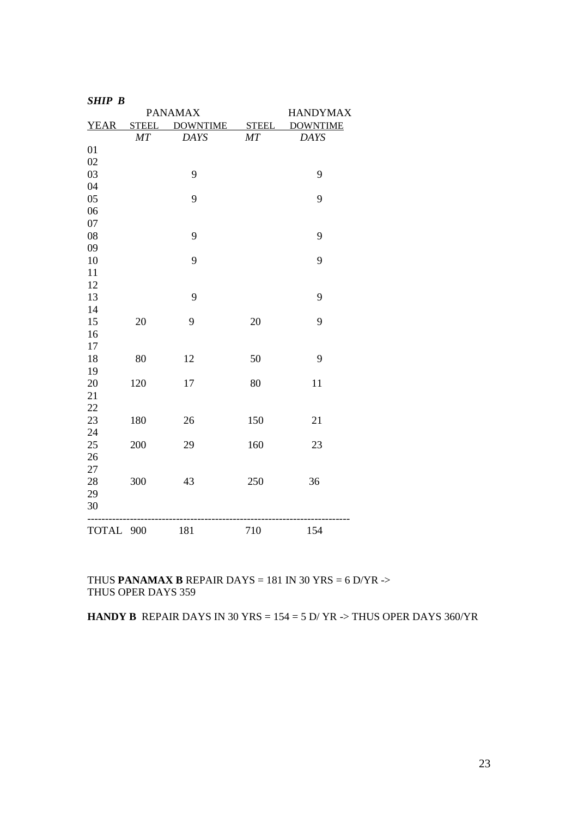| <b>SHIP B</b> |     |                      |     |                 |
|---------------|-----|----------------------|-----|-----------------|
|               |     | <b>PANAMAX</b>       |     | <b>HANDYMAX</b> |
| <b>YEAR</b>   |     | STEEL DOWNTIME STEEL |     | <b>DOWNTIME</b> |
|               | MT  | <b>DAYS</b>          | MT  | <b>DAYS</b>     |
| 01            |     |                      |     |                 |
| 02            |     |                      |     |                 |
| 03            |     | 9                    |     | 9               |
| 04            |     |                      |     |                 |
| 05            |     | 9                    |     | 9               |
| 06            |     |                      |     |                 |
| 07            |     |                      |     |                 |
| 08            |     | 9                    |     | 9               |
| 09            |     |                      |     |                 |
| 10            |     | 9                    |     | 9               |
| 11            |     |                      |     |                 |
| 12            |     |                      |     |                 |
| 13            |     | 9                    |     | 9               |
| 14            |     |                      |     |                 |
| 15            | 20  | 9                    | 20  | 9               |
| 16            |     |                      |     |                 |
| 17            |     |                      |     |                 |
| 18            | 80  | 12                   | 50  | 9               |
| 19            |     |                      |     |                 |
| 20            | 120 | 17                   | 80  | 11              |
| 21            |     |                      |     |                 |
| 22            |     |                      |     |                 |
| 23<br>24      | 180 | 26                   | 150 | 21              |
| 25            | 200 | 29                   | 160 | 23              |
| 26            |     |                      |     |                 |
| 27            |     |                      |     |                 |
| 28            | 300 | 43                   | 250 | 36              |
| 29            |     |                      |     |                 |
| 30            |     |                      |     |                 |
|               |     |                      |     |                 |
| TOTAL 900     |     | 181                  | 710 | 154             |
|               |     |                      |     |                 |

THUS **PANAMAX B** REPAIR DAYS = 181 IN 30 YRS = 6 D/YR  $\rightarrow$ THUS OPER DAYS 359

**HANDY B** REPAIR DAYS IN 30 YRS =  $154 = 5$  D/ YR -> THUS OPER DAYS 360/YR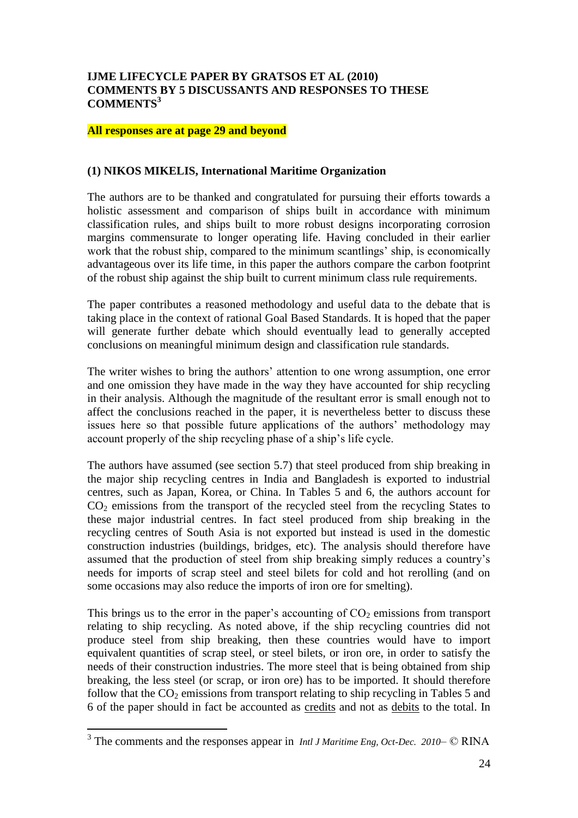## **IJME LIFECYCLE PAPER BY GRATSOS ET AL (2010) COMMENTS BY 5 DISCUSSANTS AND RESPONSES TO THESE COMMENTS<sup>3</sup>**

#### **All responses are at page 29 and beyond**

#### **(1) NIKOS MIKELIS, International Maritime Organization**

The authors are to be thanked and congratulated for pursuing their efforts towards a holistic assessment and comparison of ships built in accordance with minimum classification rules, and ships built to more robust designs incorporating corrosion margins commensurate to longer operating life. Having concluded in their earlier work that the robust ship, compared to the minimum scantlings' ship, is economically advantageous over its life time, in this paper the authors compare the carbon footprint of the robust ship against the ship built to current minimum class rule requirements.

The paper contributes a reasoned methodology and useful data to the debate that is taking place in the context of rational Goal Based Standards. It is hoped that the paper will generate further debate which should eventually lead to generally accepted conclusions on meaningful minimum design and classification rule standards.

The writer wishes to bring the authors' attention to one wrong assumption, one error and one omission they have made in the way they have accounted for ship recycling in their analysis. Although the magnitude of the resultant error is small enough not to affect the conclusions reached in the paper, it is nevertheless better to discuss these issues here so that possible future applications of the authors' methodology may account properly of the ship recycling phase of a ship"s life cycle.

The authors have assumed (see section 5.7) that steel produced from ship breaking in the major ship recycling centres in India and Bangladesh is exported to industrial centres, such as Japan, Korea, or China. In Tables 5 and 6, the authors account for  $CO<sub>2</sub>$  emissions from the transport of the recycled steel from the recycling States to these major industrial centres. In fact steel produced from ship breaking in the recycling centres of South Asia is not exported but instead is used in the domestic construction industries (buildings, bridges, etc). The analysis should therefore have assumed that the production of steel from ship breaking simply reduces a country"s needs for imports of scrap steel and steel bilets for cold and hot rerolling (and on some occasions may also reduce the imports of iron ore for smelting).

This brings us to the error in the paper's accounting of  $CO<sub>2</sub>$  emissions from transport relating to ship recycling. As noted above, if the ship recycling countries did not produce steel from ship breaking, then these countries would have to import equivalent quantities of scrap steel, or steel bilets, or iron ore, in order to satisfy the needs of their construction industries. The more steel that is being obtained from ship breaking, the less steel (or scrap, or iron ore) has to be imported. It should therefore follow that the  $CO<sub>2</sub>$  emissions from transport relating to ship recycling in Tables 5 and 6 of the paper should in fact be accounted as credits and not as debits to the total. In

<sup>&</sup>lt;sup>3</sup> The comments and the responses appear in *Intl J Maritime Eng, Oct-Dec. 2010*– © RINA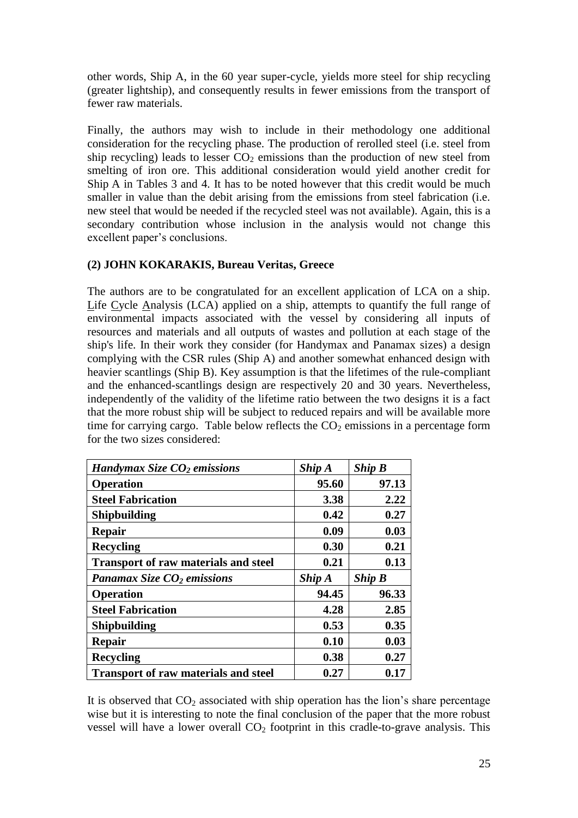other words, Ship A, in the 60 year super-cycle, yields more steel for ship recycling (greater lightship), and consequently results in fewer emissions from the transport of fewer raw materials.

Finally, the authors may wish to include in their methodology one additional consideration for the recycling phase. The production of rerolled steel (i.e. steel from ship recycling) leads to lesser  $CO<sub>2</sub>$  emissions than the production of new steel from smelting of iron ore. This additional consideration would yield another credit for Ship A in Tables 3 and 4. It has to be noted however that this credit would be much smaller in value than the debit arising from the emissions from steel fabrication (i.e. new steel that would be needed if the recycled steel was not available). Again, this is a secondary contribution whose inclusion in the analysis would not change this excellent paper's conclusions.

# **(2) JOHN KOKARAKIS, Bureau Veritas, Greece**

The authors are to be congratulated for an excellent application of LCA on a ship. Life Cycle Analysis (LCA) applied on a ship, attempts to quantify the full range of environmental impacts associated with the vessel by considering all inputs of resources and materials and all outputs of wastes and pollution at each stage of the ship's life. In their work they consider (for Handymax and Panamax sizes) a design complying with the CSR rules (Ship A) and another somewhat enhanced design with heavier scantlings (Ship B). Key assumption is that the lifetimes of the rule-compliant and the enhanced-scantlings design are respectively 20 and 30 years. Nevertheless, independently of the validity of the lifetime ratio between the two designs it is a fact that the more robust ship will be subject to reduced repairs and will be available more time for carrying cargo. Table below reflects the  $CO<sub>2</sub>$  emissions in a percentage form for the two sizes considered:

| Handymax Size $CO2$ emissions               | $Ship A$ | $Ship B$ |
|---------------------------------------------|----------|----------|
| <b>Operation</b>                            | 95.60    | 97.13    |
| <b>Steel Fabrication</b>                    | 3.38     | 2.22     |
| <b>Shipbuilding</b>                         | 0.42     | 0.27     |
| <b>Repair</b>                               | 0.09     | 0.03     |
| <b>Recycling</b>                            | 0.30     | 0.21     |
| <b>Transport of raw materials and steel</b> | 0.21     | 0.13     |
|                                             |          |          |
| Panamax Size $CO2$ emissions                | $Ship A$ | $Ship B$ |
| <b>Operation</b>                            | 94.45    | 96.33    |
| <b>Steel Fabrication</b>                    | 4.28     | 2.85     |
| <b>Shipbuilding</b>                         | 0.53     | 0.35     |
| Repair                                      | 0.10     | 0.03     |
| <b>Recycling</b>                            | 0.38     | 0.27     |

It is observed that  $CO<sub>2</sub>$  associated with ship operation has the lion's share percentage wise but it is interesting to note the final conclusion of the paper that the more robust vessel will have a lower overall  $CO<sub>2</sub>$  footprint in this cradle-to-grave analysis. This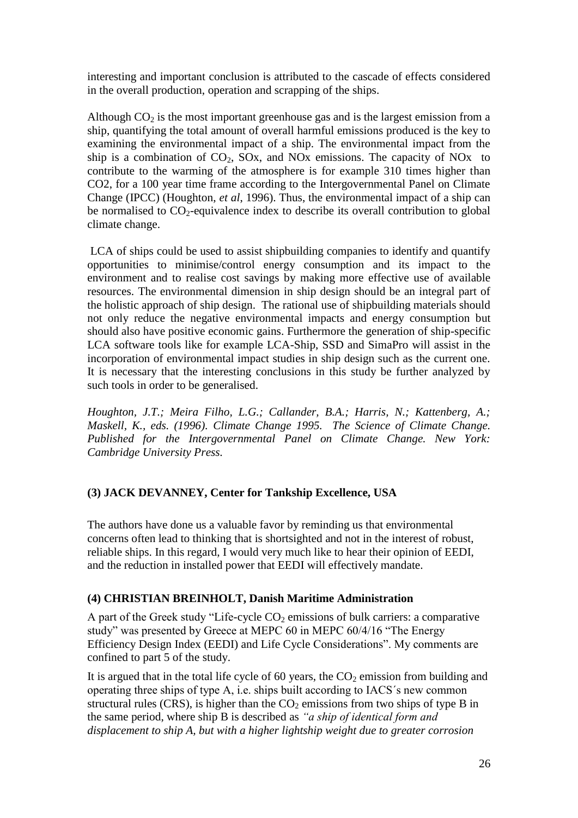interesting and important conclusion is attributed to the cascade of effects considered in the overall production, operation and scrapping of the ships.

Although  $CO<sub>2</sub>$  is the most important greenhouse gas and is the largest emission from a ship, quantifying the total amount of overall harmful emissions produced is the key to examining the environmental impact of a ship. The environmental impact from the ship is a combination of  $CO<sub>2</sub>$ ,  $SOx$ , and NOx emissions. The capacity of NOx to contribute to the warming of the atmosphere is for example 310 times higher than CO2, for a 100 year time frame according to the Intergovernmental Panel on Climate Change (IPCC) (Houghton, *et al*, 1996). Thus, the environmental impact of a ship can be normalised to  $CO<sub>2</sub>$ -equivalence index to describe its overall contribution to global climate change.

LCA of ships could be used to assist shipbuilding companies to identify and quantify opportunities to minimise/control energy consumption and its impact to the environment and to realise cost savings by making more effective use of available resources. The environmental dimension in ship design should be an integral part of the holistic approach of ship design. The rational use of shipbuilding materials should not only reduce the negative environmental impacts and energy consumption but should also have positive economic gains. Furthermore the generation of ship-specific LCA software tools like for example LCA-Ship, SSD and SimaPro will assist in the incorporation of environmental impact studies in ship design such as the current one. It is necessary that the interesting conclusions in this study be further analyzed by such tools in order to be generalised.

*Houghton, J.T.; Meira Filho, L.G.; Callander, B.A.; Harris, N.; Kattenberg, A.; Maskell, K., eds. (1996). Climate Change 1995. The Science of Climate Change. Published for the Intergovernmental Panel on Climate Change. New York: Cambridge University Press.*

# **(3) JACK DEVANNEY, Center for Tankship Excellence, USA**

The authors have done us a valuable favor by reminding us that environmental concerns often lead to thinking that is shortsighted and not in the interest of robust, reliable ships. In this regard, I would very much like to hear their opinion of EEDI, and the reduction in installed power that EEDI will effectively mandate.

# **(4) CHRISTIAN BREINHOLT, Danish Maritime Administration**

A part of the Greek study "Life-cycle  $CO<sub>2</sub>$  emissions of bulk carriers: a comparative study" was presented by Greece at MEPC 60 in MEPC 60/4/16 "The Energy Efficiency Design Index (EEDI) and Life Cycle Considerations". My comments are confined to part 5 of the study.

It is argued that in the total life cycle of 60 years, the  $CO<sub>2</sub>$  emission from building and operating three ships of type A, i.e. ships built according to IACS´s new common structural rules (CRS), is higher than the  $CO<sub>2</sub>$  emissions from two ships of type B in the same period, where ship B is described as *"a ship of identical form and displacement to ship A, but with a higher lightship weight due to greater corrosion*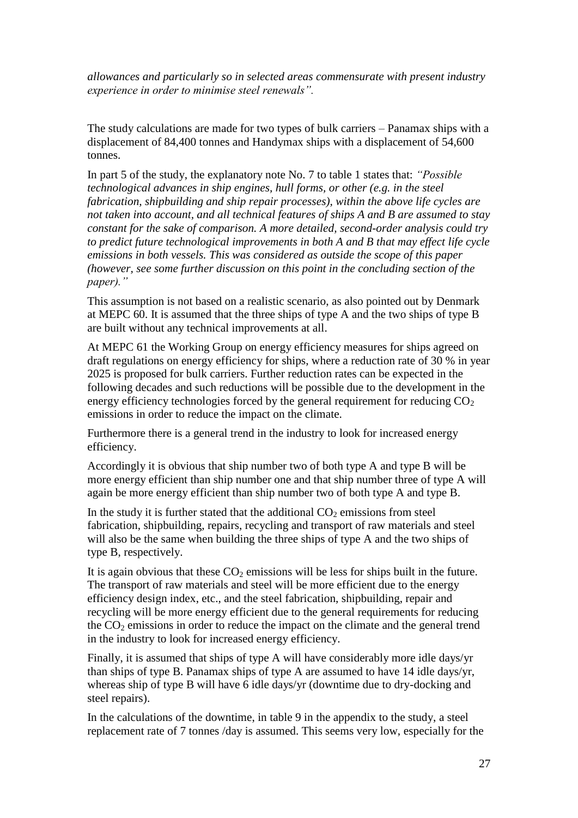*allowances and particularly so in selected areas commensurate with present industry experience in order to minimise steel renewals".*

The study calculations are made for two types of bulk carriers – Panamax ships with a displacement of 84,400 tonnes and Handymax ships with a displacement of 54,600 tonnes.

In part 5 of the study, the explanatory note No. 7 to table 1 states that: *"Possible technological advances in ship engines, hull forms, or other (e.g. in the steel fabrication, shipbuilding and ship repair processes), within the above life cycles are not taken into account, and all technical features of ships A and B are assumed to stay constant for the sake of comparison. A more detailed, second-order analysis could try to predict future technological improvements in both A and B that may effect life cycle emissions in both vessels. This was considered as outside the scope of this paper (however, see some further discussion on this point in the concluding section of the paper)."*

This assumption is not based on a realistic scenario, as also pointed out by Denmark at MEPC 60. It is assumed that the three ships of type A and the two ships of type B are built without any technical improvements at all.

At MEPC 61 the Working Group on energy efficiency measures for ships agreed on draft regulations on energy efficiency for ships, where a reduction rate of 30 % in year 2025 is proposed for bulk carriers. Further reduction rates can be expected in the following decades and such reductions will be possible due to the development in the energy efficiency technologies forced by the general requirement for reducing  $CO<sub>2</sub>$ emissions in order to reduce the impact on the climate.

Furthermore there is a general trend in the industry to look for increased energy efficiency.

Accordingly it is obvious that ship number two of both type A and type B will be more energy efficient than ship number one and that ship number three of type A will again be more energy efficient than ship number two of both type A and type B.

In the study it is further stated that the additional  $CO<sub>2</sub>$  emissions from steel fabrication, shipbuilding, repairs, recycling and transport of raw materials and steel will also be the same when building the three ships of type A and the two ships of type B, respectively.

It is again obvious that these  $CO<sub>2</sub>$  emissions will be less for ships built in the future. The transport of raw materials and steel will be more efficient due to the energy efficiency design index, etc., and the steel fabrication, shipbuilding, repair and recycling will be more energy efficient due to the general requirements for reducing the  $CO<sub>2</sub>$  emissions in order to reduce the impact on the climate and the general trend in the industry to look for increased energy efficiency.

Finally, it is assumed that ships of type A will have considerably more idle days/yr than ships of type B. Panamax ships of type A are assumed to have 14 idle days/yr, whereas ship of type B will have 6 idle days/yr (downtime due to dry-docking and steel repairs).

In the calculations of the downtime, in table 9 in the appendix to the study, a steel replacement rate of 7 tonnes /day is assumed. This seems very low, especially for the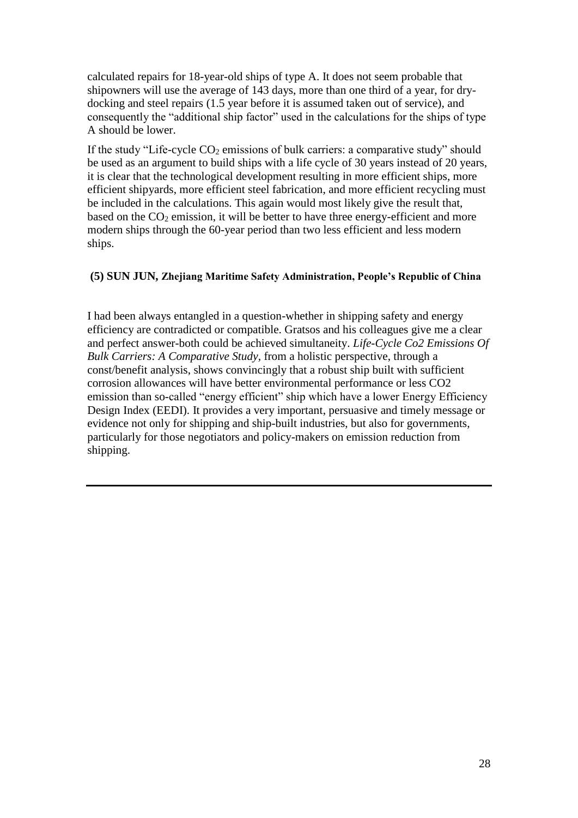calculated repairs for 18-year-old ships of type A. It does not seem probable that shipowners will use the average of 143 days, more than one third of a year, for drydocking and steel repairs (1.5 year before it is assumed taken out of service), and consequently the "additional ship factor" used in the calculations for the ships of type A should be lower.

If the study "Life-cycle  $CO<sub>2</sub>$  emissions of bulk carriers: a comparative study" should be used as an argument to build ships with a life cycle of 30 years instead of 20 years, it is clear that the technological development resulting in more efficient ships, more efficient shipyards, more efficient steel fabrication, and more efficient recycling must be included in the calculations. This again would most likely give the result that, based on the  $CO<sub>2</sub>$  emission, it will be better to have three energy-efficient and more modern ships through the 60-year period than two less efficient and less modern ships.

## **(5) SUN JUN, Zhejiang Maritime Safety Administration, People's Republic of China**

I had been always entangled in a question-whether in shipping safety and energy efficiency are contradicted or compatible. Gratsos and his colleagues give me a clear and perfect answer-both could be achieved simultaneity. *Life-Cycle Co2 Emissions Of Bulk Carriers: A Comparative Study,* from a holistic perspective, through a const/benefit analysis, shows convincingly that a robust ship built with sufficient corrosion allowances will have better environmental performance or less CO2 emission than so-called "energy efficient" ship which have a lower Energy Efficiency Design Index (EEDI). It provides a very important, persuasive and timely message or evidence not only for shipping and ship-built industries, but also for governments, particularly for those negotiators and policy-makers on emission reduction from shipping.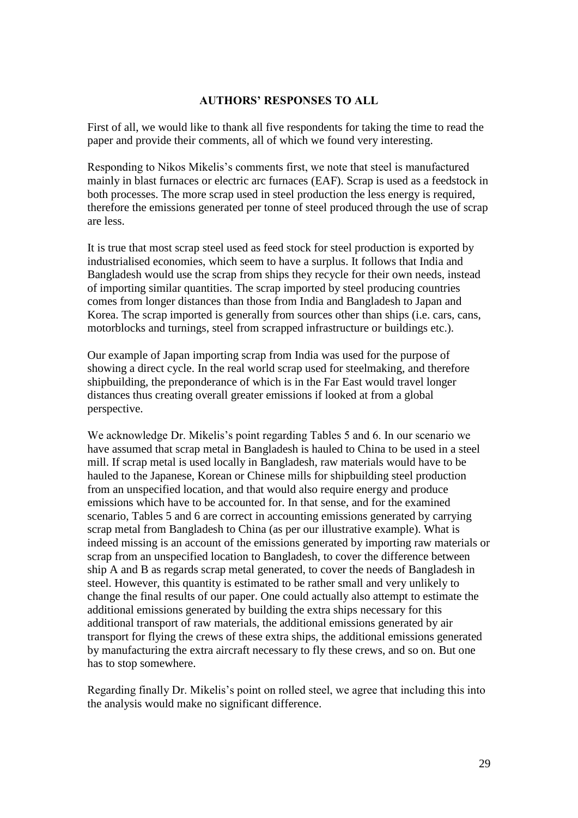## **AUTHORS' RESPONSES TO ALL**

First of all, we would like to thank all five respondents for taking the time to read the paper and provide their comments, all of which we found very interesting.

Responding to Nikos Mikelis"s comments first, we note that steel is manufactured mainly in blast furnaces or electric arc furnaces (EAF). Scrap is used as a feedstock in both processes. The more scrap used in steel production the less energy is required, therefore the emissions generated per tonne of steel produced through the use of scrap are less.

It is true that most scrap steel used as feed stock for steel production is exported by industrialised economies, which seem to have a surplus. It follows that India and Bangladesh would use the scrap from ships they recycle for their own needs, instead of importing similar quantities. The scrap imported by steel producing countries comes from longer distances than those from India and Bangladesh to Japan and Korea. The scrap imported is generally from sources other than ships (i.e. cars, cans, motorblocks and turnings, steel from scrapped infrastructure or buildings etc.).

Our example of Japan importing scrap from India was used for the purpose of showing a direct cycle. In the real world scrap used for steelmaking, and therefore shipbuilding, the preponderance of which is in the Far East would travel longer distances thus creating overall greater emissions if looked at from a global perspective.

We acknowledge Dr. Mikelis's point regarding Tables 5 and 6. In our scenario we have assumed that scrap metal in Bangladesh is hauled to China to be used in a steel mill. If scrap metal is used locally in Bangladesh, raw materials would have to be hauled to the Japanese, Korean or Chinese mills for shipbuilding steel production from an unspecified location, and that would also require energy and produce emissions which have to be accounted for. In that sense, and for the examined scenario, Tables 5 and 6 are correct in accounting emissions generated by carrying scrap metal from Bangladesh to China (as per our illustrative example). What is indeed missing is an account of the emissions generated by importing raw materials or scrap from an unspecified location to Bangladesh, to cover the difference between ship A and B as regards scrap metal generated, to cover the needs of Bangladesh in steel. However, this quantity is estimated to be rather small and very unlikely to change the final results of our paper. One could actually also attempt to estimate the additional emissions generated by building the extra ships necessary for this additional transport of raw materials, the additional emissions generated by air transport for flying the crews of these extra ships, the additional emissions generated by manufacturing the extra aircraft necessary to fly these crews, and so on. But one has to stop somewhere.

Regarding finally Dr. Mikelis"s point on rolled steel, we agree that including this into the analysis would make no significant difference.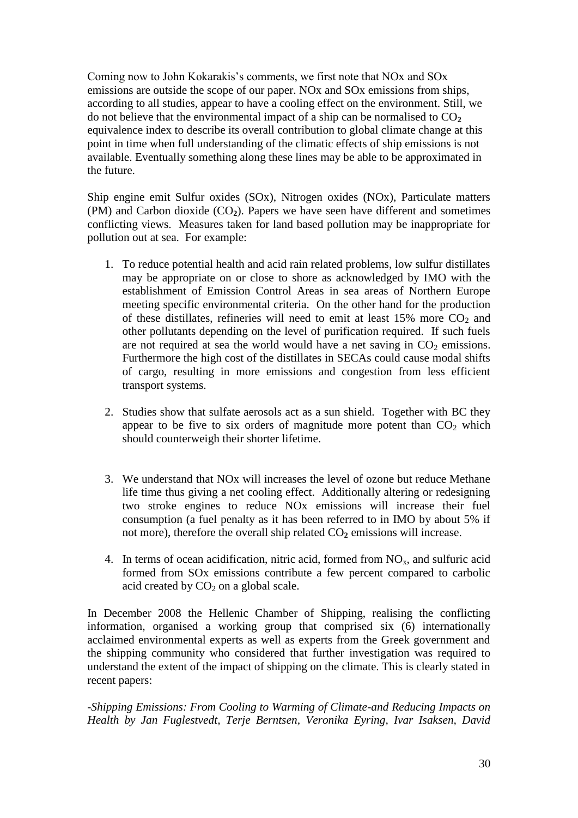Coming now to John Kokarakis's comments, we first note that NO<sub>x</sub> and SO<sub>x</sub> emissions are outside the scope of our paper. NOx and SOx emissions from ships, according to all studies, appear to have a cooling effect on the environment. Still, we do not believe that the environmental impact of a ship can be normalised to  $CO<sub>2</sub>$ equivalence index to describe its overall contribution to global climate change at this point in time when full understanding of the climatic effects of ship emissions is not available. Eventually something along these lines may be able to be approximated in the future.

Ship engine emit Sulfur oxides (SOx), Nitrogen oxides (NOx), Particulate matters (PM) and Carbon dioxide (CO**2**). Papers we have seen have different and sometimes conflicting views. Measures taken for land based pollution may be inappropriate for pollution out at sea. For example:

- 1. To reduce potential health and acid rain related problems, low sulfur distillates may be appropriate on or close to shore as acknowledged by IMO with the establishment of Emission Control Areas in sea areas of Northern Europe meeting specific environmental criteria. On the other hand for the production of these distillates, refineries will need to emit at least  $15\%$  more  $CO<sub>2</sub>$  and other pollutants depending on the level of purification required. If such fuels are not required at sea the world would have a net saving in  $CO<sub>2</sub>$  emissions. Furthermore the high cost of the distillates in SECAs could cause modal shifts of cargo, resulting in more emissions and congestion from less efficient transport systems.
- 2. Studies show that sulfate aerosols act as a sun shield. Together with BC they appear to be five to six orders of magnitude more potent than  $CO<sub>2</sub>$  which should counterweigh their shorter lifetime.
- 3. We understand that NOx will increases the level of ozone but reduce Methane life time thus giving a net cooling effect. Additionally altering or redesigning two stroke engines to reduce NOx emissions will increase their fuel consumption (a fuel penalty as it has been referred to in IMO by about 5% if not more), therefore the overall ship related CO**<sup>2</sup>** emissions will increase.
- 4. In terms of ocean acidification, nitric acid, formed from  $NO<sub>x</sub>$ , and sulfuric acid formed from SOx emissions contribute a few percent compared to carbolic acid created by  $CO<sub>2</sub>$  on a global scale.

In December 2008 the Hellenic Chamber of Shipping, realising the conflicting information, organised a working group that comprised six (6) internationally acclaimed environmental experts as well as experts from the Greek government and the shipping community who considered that further investigation was required to understand the extent of the impact of shipping on the climate. This is clearly stated in recent papers:

*-Shipping Emissions: From Cooling to Warming of Climate-and Reducing Impacts on Health by Jan Fuglestvedt, Terje Berntsen, Veronika Eyring, Ivar Isaksen, David*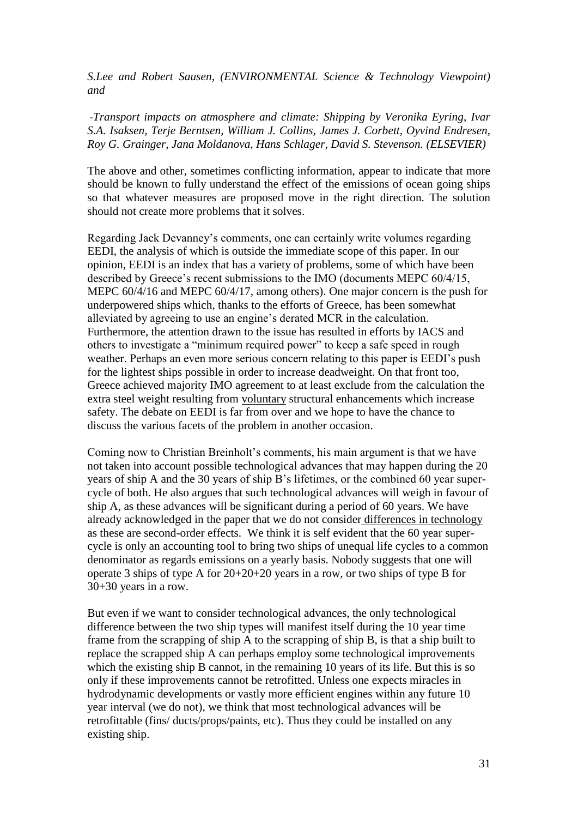*S.Lee and Robert Sausen, (ENVIRONMENTAL Science & Technology Viewpoint) and*

*-Transport impacts on atmosphere and climate: Shipping by Veronika Eyring, Ivar S.A. Isaksen, Terje Berntsen, William J. Collins, James J. Corbett, Oyvind Endresen, Roy G. Grainger, Jana Moldanova, Hans Schlager, David S. Stevenson. (ELSEVIER)*

The above and other, sometimes conflicting information, appear to indicate that more should be known to fully understand the effect of the emissions of ocean going ships so that whatever measures are proposed move in the right direction. The solution should not create more problems that it solves.

Regarding Jack Devanney"s comments, one can certainly write volumes regarding EEDI, the analysis of which is outside the immediate scope of this paper. In our opinion, EEDI is an index that has a variety of problems, some of which have been described by Greece's recent submissions to the IMO (documents MEPC 60/4/15, MEPC 60/4/16 and MEPC 60/4/17, among others). One major concern is the push for underpowered ships which, thanks to the efforts of Greece, has been somewhat alleviated by agreeing to use an engine"s derated MCR in the calculation. Furthermore, the attention drawn to the issue has resulted in efforts by IACS and others to investigate a "minimum required power" to keep a safe speed in rough weather. Perhaps an even more serious concern relating to this paper is EEDI"s push for the lightest ships possible in order to increase deadweight. On that front too, Greece achieved majority IMO agreement to at least exclude from the calculation the extra steel weight resulting from voluntary structural enhancements which increase safety. The debate on EEDI is far from over and we hope to have the chance to discuss the various facets of the problem in another occasion.

Coming now to Christian Breinholt"s comments, his main argument is that we have not taken into account possible technological advances that may happen during the 20 years of ship A and the 30 years of ship B"s lifetimes, or the combined 60 year supercycle of both. He also argues that such technological advances will weigh in favour of ship A, as these advances will be significant during a period of 60 years. We have already acknowledged in the paper that we do not consider differences in technology as these are second-order effects. We think it is self evident that the 60 year supercycle is only an accounting tool to bring two ships of unequal life cycles to a common denominator as regards emissions on a yearly basis. Nobody suggests that one will operate 3 ships of type A for 20+20+20 years in a row, or two ships of type B for 30+30 years in a row.

But even if we want to consider technological advances, the only technological difference between the two ship types will manifest itself during the 10 year time frame from the scrapping of ship A to the scrapping of ship B, is that a ship built to replace the scrapped ship A can perhaps employ some technological improvements which the existing ship B cannot, in the remaining 10 years of its life. But this is so only if these improvements cannot be retrofitted. Unless one expects miracles in hydrodynamic developments or vastly more efficient engines within any future 10 year interval (we do not), we think that most technological advances will be retrofittable (fins/ ducts/props/paints, etc). Thus they could be installed on any existing ship.